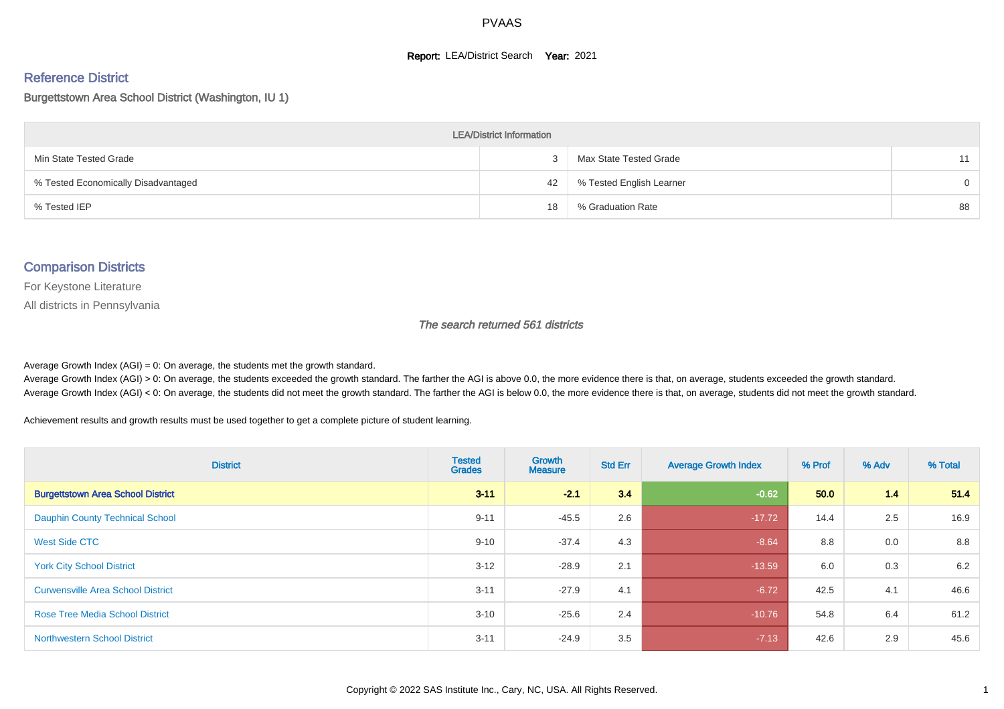#### **Report: LEA/District Search Year: 2021**

# Reference District

#### Burgettstown Area School District (Washington, IU 1)

| <b>LEA/District Information</b>     |    |                          |          |  |  |  |  |  |  |  |
|-------------------------------------|----|--------------------------|----------|--|--|--|--|--|--|--|
| Min State Tested Grade              |    | Max State Tested Grade   | 11       |  |  |  |  |  |  |  |
| % Tested Economically Disadvantaged | 42 | % Tested English Learner | $\Omega$ |  |  |  |  |  |  |  |
| % Tested IEP                        | 18 | % Graduation Rate        | 88       |  |  |  |  |  |  |  |

#### Comparison Districts

For Keystone Literature

All districts in Pennsylvania

The search returned 561 districts

Average Growth Index  $(AGI) = 0$ : On average, the students met the growth standard.

Average Growth Index (AGI) > 0: On average, the students exceeded the growth standard. The farther the AGI is above 0.0, the more evidence there is that, on average, students exceeded the growth standard. Average Growth Index (AGI) < 0: On average, the students did not meet the growth standard. The farther the AGI is below 0.0, the more evidence there is that, on average, students did not meet the growth standard.

Achievement results and growth results must be used together to get a complete picture of student learning.

| <b>District</b>                          | <b>Tested</b><br><b>Grades</b> | Growth<br><b>Measure</b> | <b>Std Err</b> | <b>Average Growth Index</b> | % Prof | % Adv | % Total |
|------------------------------------------|--------------------------------|--------------------------|----------------|-----------------------------|--------|-------|---------|
| <b>Burgettstown Area School District</b> | $3 - 11$                       | $-2.1$                   | 3.4            | $-0.62$                     | 50.0   | 1.4   | 51.4    |
| <b>Dauphin County Technical School</b>   | $9 - 11$                       | $-45.5$                  | 2.6            | $-17.72$                    | 14.4   | 2.5   | 16.9    |
| West Side CTC                            | $9 - 10$                       | $-37.4$                  | 4.3            | $-8.64$                     | 8.8    | 0.0   | 8.8     |
| <b>York City School District</b>         | $3 - 12$                       | $-28.9$                  | 2.1            | $-13.59$                    | 6.0    | 0.3   | 6.2     |
| <b>Curwensville Area School District</b> | $3 - 11$                       | $-27.9$                  | 4.1            | $-6.72$                     | 42.5   | 4.1   | 46.6    |
| <b>Rose Tree Media School District</b>   | $3 - 10$                       | $-25.6$                  | 2.4            | $-10.76$                    | 54.8   | 6.4   | 61.2    |
| <b>Northwestern School District</b>      | $3 - 11$                       | $-24.9$                  | 3.5            | $-7.13$                     | 42.6   | 2.9   | 45.6    |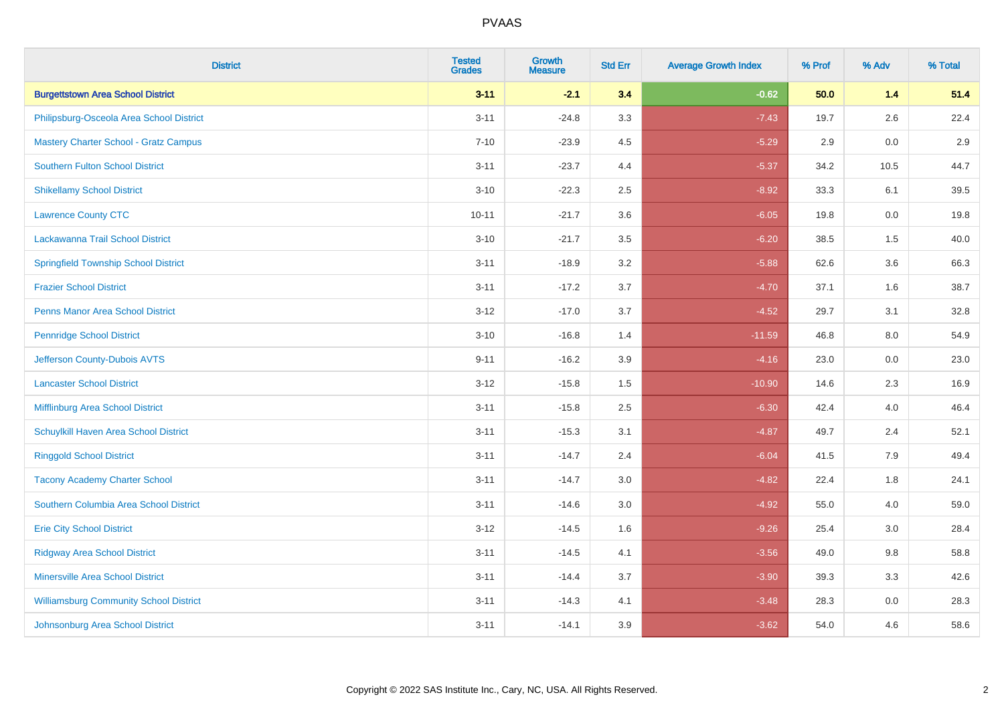| <b>District</b>                               | <b>Tested</b><br><b>Grades</b> | <b>Growth</b><br><b>Measure</b> | <b>Std Err</b> | <b>Average Growth Index</b> | % Prof | % Adv   | % Total |
|-----------------------------------------------|--------------------------------|---------------------------------|----------------|-----------------------------|--------|---------|---------|
| <b>Burgettstown Area School District</b>      | $3 - 11$                       | $-2.1$                          | 3.4            | $-0.62$                     | 50.0   | $1.4$   | 51.4    |
| Philipsburg-Osceola Area School District      | $3 - 11$                       | $-24.8$                         | 3.3            | $-7.43$                     | 19.7   | 2.6     | 22.4    |
| <b>Mastery Charter School - Gratz Campus</b>  | $7 - 10$                       | $-23.9$                         | 4.5            | $-5.29$                     | 2.9    | 0.0     | 2.9     |
| <b>Southern Fulton School District</b>        | $3 - 11$                       | $-23.7$                         | 4.4            | $-5.37$                     | 34.2   | 10.5    | 44.7    |
| <b>Shikellamy School District</b>             | $3 - 10$                       | $-22.3$                         | 2.5            | $-8.92$                     | 33.3   | 6.1     | 39.5    |
| <b>Lawrence County CTC</b>                    | $10 - 11$                      | $-21.7$                         | 3.6            | $-6.05$                     | 19.8   | 0.0     | 19.8    |
| Lackawanna Trail School District              | $3 - 10$                       | $-21.7$                         | 3.5            | $-6.20$                     | 38.5   | 1.5     | 40.0    |
| <b>Springfield Township School District</b>   | $3 - 11$                       | $-18.9$                         | 3.2            | $-5.88$                     | 62.6   | 3.6     | 66.3    |
| <b>Frazier School District</b>                | $3 - 11$                       | $-17.2$                         | 3.7            | $-4.70$                     | 37.1   | 1.6     | 38.7    |
| <b>Penns Manor Area School District</b>       | $3 - 12$                       | $-17.0$                         | 3.7            | $-4.52$                     | 29.7   | 3.1     | 32.8    |
| <b>Pennridge School District</b>              | $3 - 10$                       | $-16.8$                         | 1.4            | $-11.59$                    | 46.8   | 8.0     | 54.9    |
| Jefferson County-Dubois AVTS                  | $9 - 11$                       | $-16.2$                         | 3.9            | $-4.16$                     | 23.0   | 0.0     | 23.0    |
| <b>Lancaster School District</b>              | $3 - 12$                       | $-15.8$                         | 1.5            | $-10.90$                    | 14.6   | $2.3\,$ | 16.9    |
| Mifflinburg Area School District              | $3 - 11$                       | $-15.8$                         | 2.5            | $-6.30$                     | 42.4   | 4.0     | 46.4    |
| Schuylkill Haven Area School District         | $3 - 11$                       | $-15.3$                         | 3.1            | $-4.87$                     | 49.7   | 2.4     | 52.1    |
| <b>Ringgold School District</b>               | $3 - 11$                       | $-14.7$                         | 2.4            | $-6.04$                     | 41.5   | 7.9     | 49.4    |
| <b>Tacony Academy Charter School</b>          | $3 - 11$                       | $-14.7$                         | 3.0            | $-4.82$                     | 22.4   | 1.8     | 24.1    |
| Southern Columbia Area School District        | $3 - 11$                       | $-14.6$                         | 3.0            | $-4.92$                     | 55.0   | 4.0     | 59.0    |
| <b>Erie City School District</b>              | $3-12$                         | $-14.5$                         | 1.6            | $-9.26$                     | 25.4   | 3.0     | 28.4    |
| <b>Ridgway Area School District</b>           | $3 - 11$                       | $-14.5$                         | 4.1            | $-3.56$                     | 49.0   | 9.8     | 58.8    |
| <b>Minersville Area School District</b>       | $3 - 11$                       | $-14.4$                         | 3.7            | $-3.90$                     | 39.3   | 3.3     | 42.6    |
| <b>Williamsburg Community School District</b> | $3 - 11$                       | $-14.3$                         | 4.1            | $-3.48$                     | 28.3   | 0.0     | 28.3    |
| Johnsonburg Area School District              | $3 - 11$                       | $-14.1$                         | 3.9            | $-3.62$                     | 54.0   | 4.6     | 58.6    |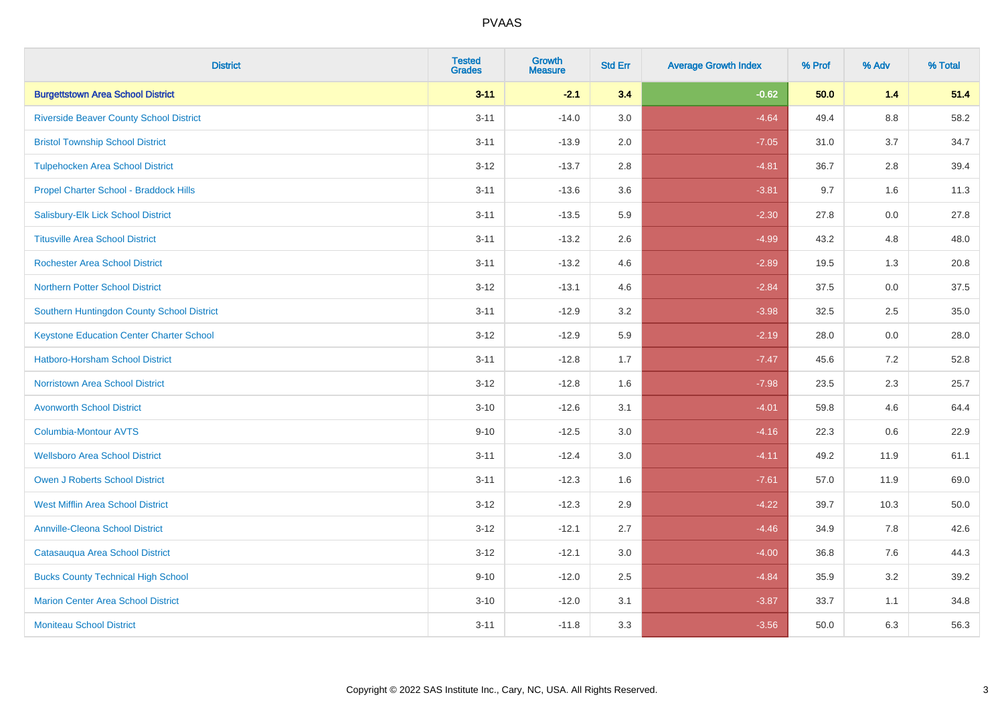| <b>District</b>                                 | <b>Tested</b><br><b>Grades</b> | <b>Growth</b><br><b>Measure</b> | <b>Std Err</b> | <b>Average Growth Index</b> | % Prof | % Adv   | % Total |
|-------------------------------------------------|--------------------------------|---------------------------------|----------------|-----------------------------|--------|---------|---------|
| <b>Burgettstown Area School District</b>        | $3 - 11$                       | $-2.1$                          | 3.4            | $-0.62$                     | 50.0   | 1.4     | 51.4    |
| <b>Riverside Beaver County School District</b>  | $3 - 11$                       | $-14.0$                         | 3.0            | $-4.64$                     | 49.4   | $8.8\,$ | 58.2    |
| <b>Bristol Township School District</b>         | $3 - 11$                       | $-13.9$                         | 2.0            | $-7.05$                     | 31.0   | 3.7     | 34.7    |
| <b>Tulpehocken Area School District</b>         | $3 - 12$                       | $-13.7$                         | 2.8            | $-4.81$                     | 36.7   | 2.8     | 39.4    |
| Propel Charter School - Braddock Hills          | $3 - 11$                       | $-13.6$                         | 3.6            | $-3.81$                     | 9.7    | 1.6     | 11.3    |
| Salisbury-Elk Lick School District              | $3 - 11$                       | $-13.5$                         | 5.9            | $-2.30$                     | 27.8   | 0.0     | 27.8    |
| <b>Titusville Area School District</b>          | $3 - 11$                       | $-13.2$                         | 2.6            | $-4.99$                     | 43.2   | 4.8     | 48.0    |
| <b>Rochester Area School District</b>           | $3 - 11$                       | $-13.2$                         | 4.6            | $-2.89$                     | 19.5   | 1.3     | 20.8    |
| <b>Northern Potter School District</b>          | $3 - 12$                       | $-13.1$                         | 4.6            | $-2.84$                     | 37.5   | 0.0     | 37.5    |
| Southern Huntingdon County School District      | $3 - 11$                       | $-12.9$                         | 3.2            | $-3.98$                     | 32.5   | $2.5\,$ | 35.0    |
| <b>Keystone Education Center Charter School</b> | $3 - 12$                       | $-12.9$                         | 5.9            | $-2.19$                     | 28.0   | 0.0     | 28.0    |
| <b>Hatboro-Horsham School District</b>          | $3 - 11$                       | $-12.8$                         | 1.7            | $-7.47$                     | 45.6   | 7.2     | 52.8    |
| <b>Norristown Area School District</b>          | $3 - 12$                       | $-12.8$                         | 1.6            | $-7.98$                     | 23.5   | 2.3     | 25.7    |
| <b>Avonworth School District</b>                | $3 - 10$                       | $-12.6$                         | 3.1            | $-4.01$                     | 59.8   | 4.6     | 64.4    |
| Columbia-Montour AVTS                           | $9 - 10$                       | $-12.5$                         | 3.0            | $-4.16$                     | 22.3   | 0.6     | 22.9    |
| <b>Wellsboro Area School District</b>           | $3 - 11$                       | $-12.4$                         | 3.0            | $-4.11$                     | 49.2   | 11.9    | 61.1    |
| <b>Owen J Roberts School District</b>           | $3 - 11$                       | $-12.3$                         | 1.6            | $-7.61$                     | 57.0   | 11.9    | 69.0    |
| <b>West Mifflin Area School District</b>        | $3 - 12$                       | $-12.3$                         | 2.9            | $-4.22$                     | 39.7   | 10.3    | 50.0    |
| <b>Annville-Cleona School District</b>          | $3 - 12$                       | $-12.1$                         | 2.7            | $-4.46$                     | 34.9   | 7.8     | 42.6    |
| Catasauqua Area School District                 | $3 - 12$                       | $-12.1$                         | 3.0            | $-4.00$                     | 36.8   | 7.6     | 44.3    |
| <b>Bucks County Technical High School</b>       | $9 - 10$                       | $-12.0$                         | 2.5            | $-4.84$                     | 35.9   | 3.2     | 39.2    |
| <b>Marion Center Area School District</b>       | $3 - 10$                       | $-12.0$                         | 3.1            | $-3.87$                     | 33.7   | 1.1     | 34.8    |
| <b>Moniteau School District</b>                 | $3 - 11$                       | $-11.8$                         | 3.3            | $-3.56$                     | 50.0   | 6.3     | 56.3    |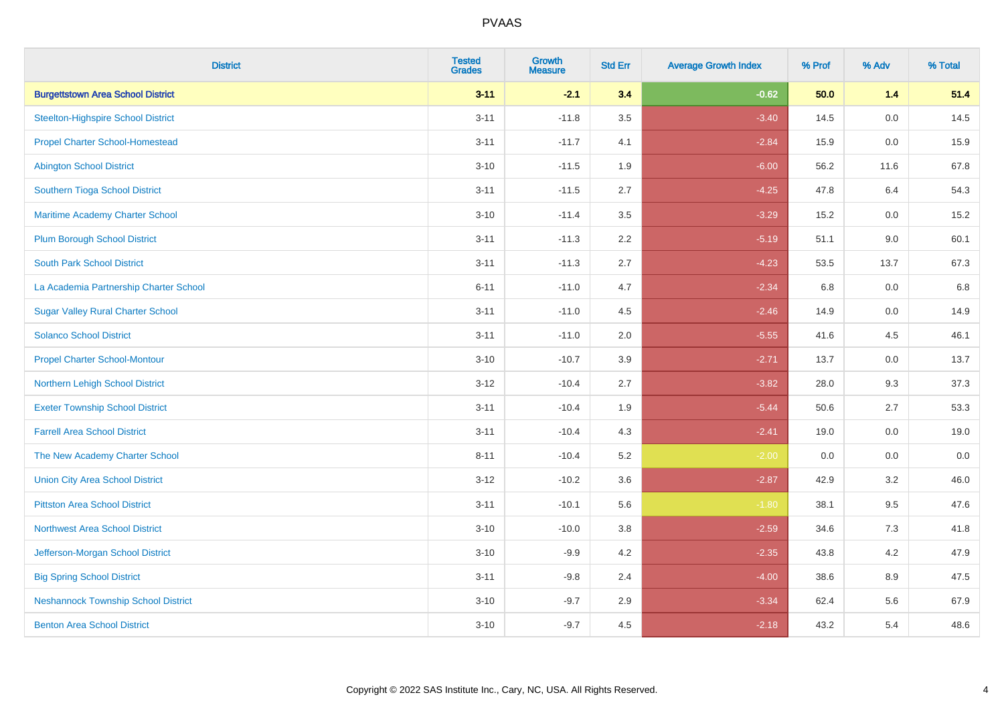| <b>District</b>                            | <b>Tested</b><br><b>Grades</b> | <b>Growth</b><br><b>Measure</b> | <b>Std Err</b> | <b>Average Growth Index</b> | % Prof | % Adv   | % Total |
|--------------------------------------------|--------------------------------|---------------------------------|----------------|-----------------------------|--------|---------|---------|
| <b>Burgettstown Area School District</b>   | $3 - 11$                       | $-2.1$                          | 3.4            | $-0.62$                     | 50.0   | $1.4$   | 51.4    |
| <b>Steelton-Highspire School District</b>  | $3 - 11$                       | $-11.8$                         | 3.5            | $-3.40$                     | 14.5   | $0.0\,$ | 14.5    |
| <b>Propel Charter School-Homestead</b>     | $3 - 11$                       | $-11.7$                         | 4.1            | $-2.84$                     | 15.9   | 0.0     | 15.9    |
| <b>Abington School District</b>            | $3 - 10$                       | $-11.5$                         | 1.9            | $-6.00$                     | 56.2   | 11.6    | 67.8    |
| Southern Tioga School District             | $3 - 11$                       | $-11.5$                         | 2.7            | $-4.25$                     | 47.8   | 6.4     | 54.3    |
| Maritime Academy Charter School            | $3 - 10$                       | $-11.4$                         | 3.5            | $-3.29$                     | 15.2   | 0.0     | 15.2    |
| <b>Plum Borough School District</b>        | $3 - 11$                       | $-11.3$                         | 2.2            | $-5.19$                     | 51.1   | 9.0     | 60.1    |
| <b>South Park School District</b>          | $3 - 11$                       | $-11.3$                         | 2.7            | $-4.23$                     | 53.5   | 13.7    | 67.3    |
| La Academia Partnership Charter School     | $6 - 11$                       | $-11.0$                         | 4.7            | $-2.34$                     | 6.8    | 0.0     | 6.8     |
| <b>Sugar Valley Rural Charter School</b>   | $3 - 11$                       | $-11.0$                         | 4.5            | $-2.46$                     | 14.9   | 0.0     | 14.9    |
| <b>Solanco School District</b>             | $3 - 11$                       | $-11.0$                         | 2.0            | $-5.55$                     | 41.6   | 4.5     | 46.1    |
| <b>Propel Charter School-Montour</b>       | $3 - 10$                       | $-10.7$                         | 3.9            | $-2.71$                     | 13.7   | 0.0     | 13.7    |
| Northern Lehigh School District            | $3 - 12$                       | $-10.4$                         | 2.7            | $-3.82$                     | 28.0   | 9.3     | 37.3    |
| <b>Exeter Township School District</b>     | $3 - 11$                       | $-10.4$                         | 1.9            | $-5.44$                     | 50.6   | 2.7     | 53.3    |
| <b>Farrell Area School District</b>        | $3 - 11$                       | $-10.4$                         | 4.3            | $-2.41$                     | 19.0   | 0.0     | 19.0    |
| The New Academy Charter School             | $8 - 11$                       | $-10.4$                         | 5.2            | $-2.00$                     | 0.0    | $0.0\,$ | $0.0\,$ |
| <b>Union City Area School District</b>     | $3 - 12$                       | $-10.2$                         | 3.6            | $-2.87$                     | 42.9   | 3.2     | 46.0    |
| <b>Pittston Area School District</b>       | $3 - 11$                       | $-10.1$                         | 5.6            | $-1.80$                     | 38.1   | 9.5     | 47.6    |
| <b>Northwest Area School District</b>      | $3 - 10$                       | $-10.0$                         | 3.8            | $-2.59$                     | 34.6   | $7.3$   | 41.8    |
| Jefferson-Morgan School District           | $3 - 10$                       | $-9.9$                          | 4.2            | $-2.35$                     | 43.8   | 4.2     | 47.9    |
| <b>Big Spring School District</b>          | $3 - 11$                       | $-9.8$                          | 2.4            | $-4.00$                     | 38.6   | 8.9     | 47.5    |
| <b>Neshannock Township School District</b> | $3 - 10$                       | $-9.7$                          | 2.9            | $-3.34$                     | 62.4   | 5.6     | 67.9    |
| <b>Benton Area School District</b>         | $3 - 10$                       | $-9.7$                          | 4.5            | $-2.18$                     | 43.2   | 5.4     | 48.6    |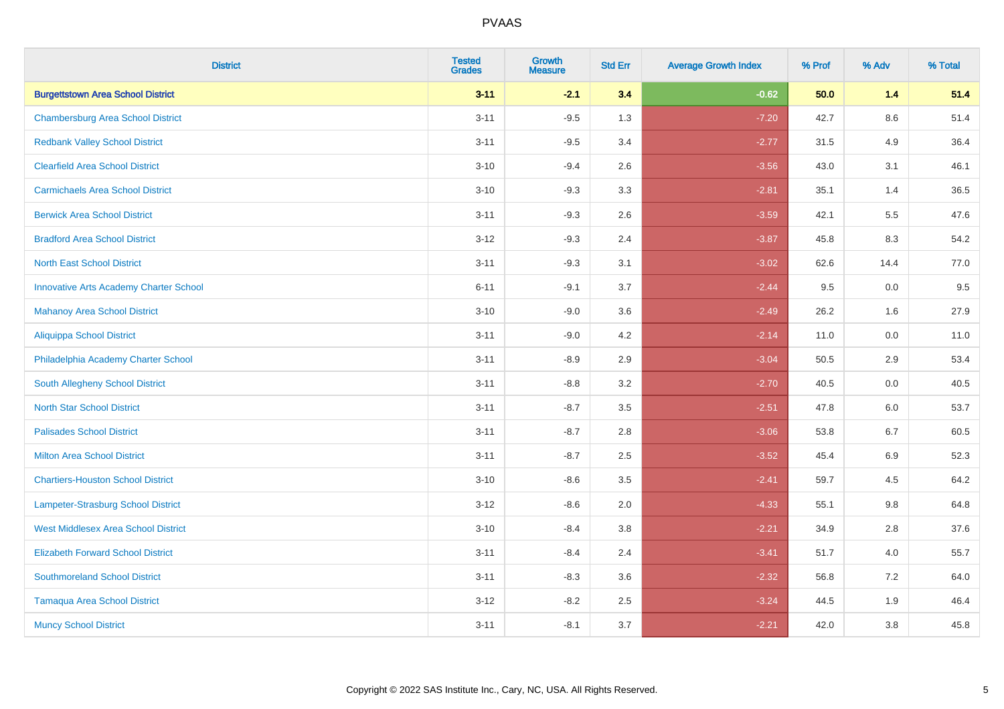| <b>District</b>                               | <b>Tested</b><br><b>Grades</b> | <b>Growth</b><br><b>Measure</b> | <b>Std Err</b> | <b>Average Growth Index</b> | % Prof | % Adv   | % Total |
|-----------------------------------------------|--------------------------------|---------------------------------|----------------|-----------------------------|--------|---------|---------|
| <b>Burgettstown Area School District</b>      | $3 - 11$                       | $-2.1$                          | 3.4            | $-0.62$                     | 50.0   | $1.4$   | 51.4    |
| <b>Chambersburg Area School District</b>      | $3 - 11$                       | $-9.5$                          | 1.3            | $-7.20$                     | 42.7   | $8.6\,$ | 51.4    |
| <b>Redbank Valley School District</b>         | $3 - 11$                       | $-9.5$                          | 3.4            | $-2.77$                     | 31.5   | 4.9     | 36.4    |
| <b>Clearfield Area School District</b>        | $3 - 10$                       | $-9.4$                          | 2.6            | $-3.56$                     | 43.0   | 3.1     | 46.1    |
| <b>Carmichaels Area School District</b>       | $3 - 10$                       | $-9.3$                          | 3.3            | $-2.81$                     | 35.1   | 1.4     | 36.5    |
| <b>Berwick Area School District</b>           | $3 - 11$                       | $-9.3$                          | 2.6            | $-3.59$                     | 42.1   | 5.5     | 47.6    |
| <b>Bradford Area School District</b>          | $3 - 12$                       | $-9.3$                          | 2.4            | $-3.87$                     | 45.8   | 8.3     | 54.2    |
| <b>North East School District</b>             | $3 - 11$                       | $-9.3$                          | 3.1            | $-3.02$                     | 62.6   | 14.4    | 77.0    |
| <b>Innovative Arts Academy Charter School</b> | $6 - 11$                       | $-9.1$                          | 3.7            | $-2.44$                     | 9.5    | 0.0     | 9.5     |
| <b>Mahanoy Area School District</b>           | $3 - 10$                       | $-9.0$                          | 3.6            | $-2.49$                     | 26.2   | 1.6     | 27.9    |
| Aliquippa School District                     | $3 - 11$                       | $-9.0$                          | 4.2            | $-2.14$                     | 11.0   | 0.0     | 11.0    |
| Philadelphia Academy Charter School           | $3 - 11$                       | $-8.9$                          | 2.9            | $-3.04$                     | 50.5   | 2.9     | 53.4    |
| South Allegheny School District               | $3 - 11$                       | $-8.8$                          | 3.2            | $-2.70$                     | 40.5   | $0.0\,$ | 40.5    |
| <b>North Star School District</b>             | $3 - 11$                       | $-8.7$                          | 3.5            | $-2.51$                     | 47.8   | 6.0     | 53.7    |
| <b>Palisades School District</b>              | $3 - 11$                       | $-8.7$                          | 2.8            | $-3.06$                     | 53.8   | 6.7     | 60.5    |
| <b>Milton Area School District</b>            | $3 - 11$                       | $-8.7$                          | 2.5            | $-3.52$                     | 45.4   | $6.9\,$ | 52.3    |
| <b>Chartiers-Houston School District</b>      | $3 - 10$                       | $-8.6$                          | 3.5            | $-2.41$                     | 59.7   | 4.5     | 64.2    |
| Lampeter-Strasburg School District            | $3 - 12$                       | $-8.6$                          | 2.0            | $-4.33$                     | 55.1   | 9.8     | 64.8    |
| <b>West Middlesex Area School District</b>    | $3 - 10$                       | $-8.4$                          | 3.8            | $-2.21$                     | 34.9   | 2.8     | 37.6    |
| <b>Elizabeth Forward School District</b>      | $3 - 11$                       | $-8.4$                          | 2.4            | $-3.41$                     | 51.7   | 4.0     | 55.7    |
| <b>Southmoreland School District</b>          | $3 - 11$                       | $-8.3$                          | 3.6            | $-2.32$                     | 56.8   | 7.2     | 64.0    |
| <b>Tamaqua Area School District</b>           | $3-12$                         | $-8.2$                          | 2.5            | $-3.24$                     | 44.5   | 1.9     | 46.4    |
| <b>Muncy School District</b>                  | $3 - 11$                       | $-8.1$                          | 3.7            | $-2.21$                     | 42.0   | 3.8     | 45.8    |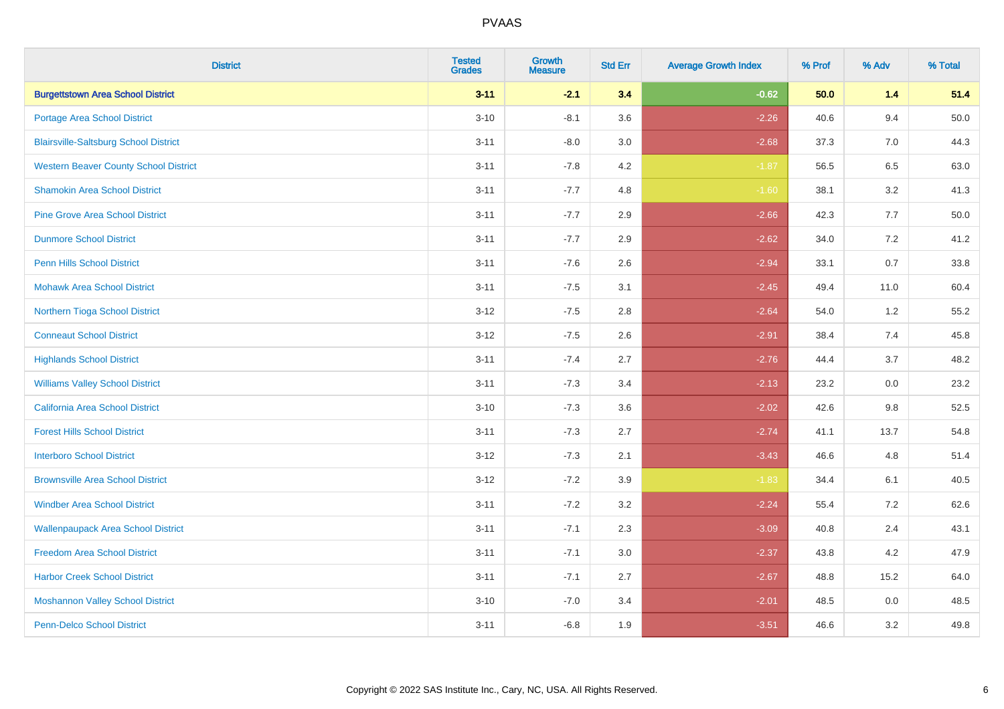| <b>District</b>                              | <b>Tested</b><br><b>Grades</b> | <b>Growth</b><br><b>Measure</b> | <b>Std Err</b> | <b>Average Growth Index</b> | % Prof | % Adv | % Total |
|----------------------------------------------|--------------------------------|---------------------------------|----------------|-----------------------------|--------|-------|---------|
| <b>Burgettstown Area School District</b>     | $3 - 11$                       | $-2.1$                          | 3.4            | $-0.62$                     | 50.0   | $1.4$ | 51.4    |
| <b>Portage Area School District</b>          | $3 - 10$                       | $-8.1$                          | 3.6            | $-2.26$                     | 40.6   | 9.4   | 50.0    |
| <b>Blairsville-Saltsburg School District</b> | $3 - 11$                       | $-8.0$                          | 3.0            | $-2.68$                     | 37.3   | 7.0   | 44.3    |
| <b>Western Beaver County School District</b> | $3 - 11$                       | $-7.8$                          | 4.2            | $-1.87$                     | 56.5   | 6.5   | 63.0    |
| <b>Shamokin Area School District</b>         | $3 - 11$                       | $-7.7$                          | 4.8            | $-1.60$                     | 38.1   | 3.2   | 41.3    |
| <b>Pine Grove Area School District</b>       | $3 - 11$                       | $-7.7$                          | 2.9            | $-2.66$                     | 42.3   | 7.7   | 50.0    |
| <b>Dunmore School District</b>               | $3 - 11$                       | $-7.7$                          | 2.9            | $-2.62$                     | 34.0   | 7.2   | 41.2    |
| <b>Penn Hills School District</b>            | $3 - 11$                       | $-7.6$                          | 2.6            | $-2.94$                     | 33.1   | 0.7   | 33.8    |
| <b>Mohawk Area School District</b>           | $3 - 11$                       | $-7.5$                          | 3.1            | $-2.45$                     | 49.4   | 11.0  | 60.4    |
| Northern Tioga School District               | $3 - 12$                       | $-7.5$                          | 2.8            | $-2.64$                     | 54.0   | 1.2   | 55.2    |
| <b>Conneaut School District</b>              | $3-12$                         | $-7.5$                          | 2.6            | $-2.91$                     | 38.4   | 7.4   | 45.8    |
| <b>Highlands School District</b>             | $3 - 11$                       | $-7.4$                          | 2.7            | $-2.76$                     | 44.4   | 3.7   | 48.2    |
| <b>Williams Valley School District</b>       | $3 - 11$                       | $-7.3$                          | 3.4            | $-2.13$                     | 23.2   | 0.0   | 23.2    |
| <b>California Area School District</b>       | $3 - 10$                       | $-7.3$                          | 3.6            | $-2.02$                     | 42.6   | 9.8   | 52.5    |
| <b>Forest Hills School District</b>          | $3 - 11$                       | $-7.3$                          | 2.7            | $-2.74$                     | 41.1   | 13.7  | 54.8    |
| <b>Interboro School District</b>             | $3 - 12$                       | $-7.3$                          | 2.1            | $-3.43$                     | 46.6   | 4.8   | 51.4    |
| <b>Brownsville Area School District</b>      | $3 - 12$                       | $-7.2$                          | 3.9            | $-1.83$                     | 34.4   | 6.1   | 40.5    |
| <b>Windber Area School District</b>          | $3 - 11$                       | $-7.2$                          | 3.2            | $-2.24$                     | 55.4   | 7.2   | 62.6    |
| <b>Wallenpaupack Area School District</b>    | $3 - 11$                       | $-7.1$                          | 2.3            | $-3.09$                     | 40.8   | 2.4   | 43.1    |
| <b>Freedom Area School District</b>          | $3 - 11$                       | $-7.1$                          | 3.0            | $-2.37$                     | 43.8   | 4.2   | 47.9    |
| <b>Harbor Creek School District</b>          | $3 - 11$                       | $-7.1$                          | 2.7            | $-2.67$                     | 48.8   | 15.2  | 64.0    |
| <b>Moshannon Valley School District</b>      | $3 - 10$                       | $-7.0$                          | 3.4            | $-2.01$                     | 48.5   | 0.0   | 48.5    |
| <b>Penn-Delco School District</b>            | $3 - 11$                       | $-6.8$                          | 1.9            | $-3.51$                     | 46.6   | 3.2   | 49.8    |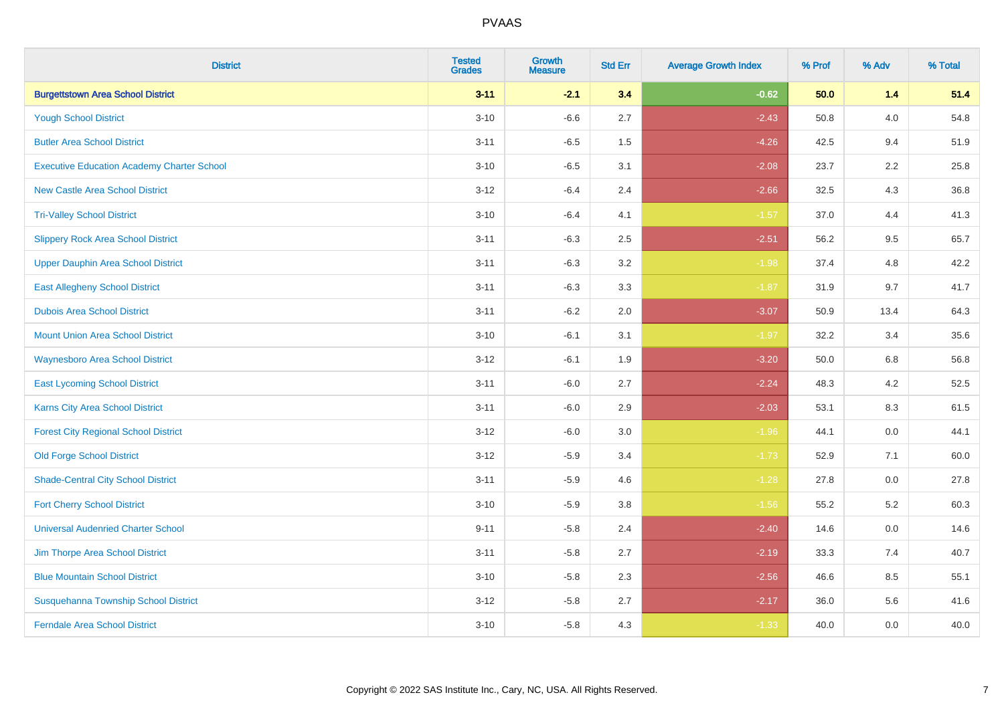| <b>District</b>                                   | <b>Tested</b><br><b>Grades</b> | <b>Growth</b><br><b>Measure</b> | <b>Std Err</b> | <b>Average Growth Index</b> | % Prof | % Adv   | % Total |
|---------------------------------------------------|--------------------------------|---------------------------------|----------------|-----------------------------|--------|---------|---------|
| <b>Burgettstown Area School District</b>          | $3 - 11$                       | $-2.1$                          | 3.4            | $-0.62$                     | 50.0   | $1.4$   | 51.4    |
| <b>Yough School District</b>                      | $3 - 10$                       | $-6.6$                          | 2.7            | $-2.43$                     | 50.8   | 4.0     | 54.8    |
| <b>Butler Area School District</b>                | $3 - 11$                       | $-6.5$                          | 1.5            | $-4.26$                     | 42.5   | 9.4     | 51.9    |
| <b>Executive Education Academy Charter School</b> | $3 - 10$                       | $-6.5$                          | 3.1            | $-2.08$                     | 23.7   | 2.2     | 25.8    |
| <b>New Castle Area School District</b>            | $3-12$                         | $-6.4$                          | 2.4            | $-2.66$                     | 32.5   | 4.3     | 36.8    |
| <b>Tri-Valley School District</b>                 | $3 - 10$                       | $-6.4$                          | 4.1            | $-1.57$                     | 37.0   | 4.4     | 41.3    |
| <b>Slippery Rock Area School District</b>         | $3 - 11$                       | $-6.3$                          | 2.5            | $-2.51$                     | 56.2   | 9.5     | 65.7    |
| <b>Upper Dauphin Area School District</b>         | $3 - 11$                       | $-6.3$                          | 3.2            | $-1.98$                     | 37.4   | 4.8     | 42.2    |
| <b>East Allegheny School District</b>             | $3 - 11$                       | $-6.3$                          | 3.3            | $-1.87$                     | 31.9   | 9.7     | 41.7    |
| <b>Dubois Area School District</b>                | $3 - 11$                       | $-6.2$                          | 2.0            | $-3.07$                     | 50.9   | 13.4    | 64.3    |
| <b>Mount Union Area School District</b>           | $3 - 10$                       | $-6.1$                          | 3.1            | $-1.97$                     | 32.2   | 3.4     | 35.6    |
| <b>Waynesboro Area School District</b>            | $3-12$                         | $-6.1$                          | 1.9            | $-3.20$                     | 50.0   | 6.8     | 56.8    |
| <b>East Lycoming School District</b>              | $3 - 11$                       | $-6.0$                          | 2.7            | $-2.24$                     | 48.3   | 4.2     | 52.5    |
| Karns City Area School District                   | $3 - 11$                       | $-6.0$                          | 2.9            | $-2.03$                     | 53.1   | 8.3     | 61.5    |
| <b>Forest City Regional School District</b>       | $3-12$                         | $-6.0$                          | $3.0\,$        | $-1.96$                     | 44.1   | $0.0\,$ | 44.1    |
| <b>Old Forge School District</b>                  | $3 - 12$                       | $-5.9$                          | 3.4            | $-1.73$                     | 52.9   | 7.1     | 60.0    |
| <b>Shade-Central City School District</b>         | $3 - 11$                       | $-5.9$                          | 4.6            | $-1.28$                     | 27.8   | 0.0     | 27.8    |
| <b>Fort Cherry School District</b>                | $3 - 10$                       | $-5.9$                          | 3.8            | $-1.56$                     | 55.2   | 5.2     | 60.3    |
| <b>Universal Audenried Charter School</b>         | $9 - 11$                       | $-5.8$                          | 2.4            | $-2.40$                     | 14.6   | $0.0\,$ | 14.6    |
| Jim Thorpe Area School District                   | $3 - 11$                       | $-5.8$                          | 2.7            | $-2.19$                     | 33.3   | 7.4     | 40.7    |
| <b>Blue Mountain School District</b>              | $3 - 10$                       | $-5.8$                          | 2.3            | $-2.56$                     | 46.6   | 8.5     | 55.1    |
| Susquehanna Township School District              | $3 - 12$                       | $-5.8$                          | 2.7            | $-2.17$                     | 36.0   | 5.6     | 41.6    |
| <b>Ferndale Area School District</b>              | $3 - 10$                       | $-5.8$                          | 4.3            | $-1.33$                     | 40.0   | 0.0     | 40.0    |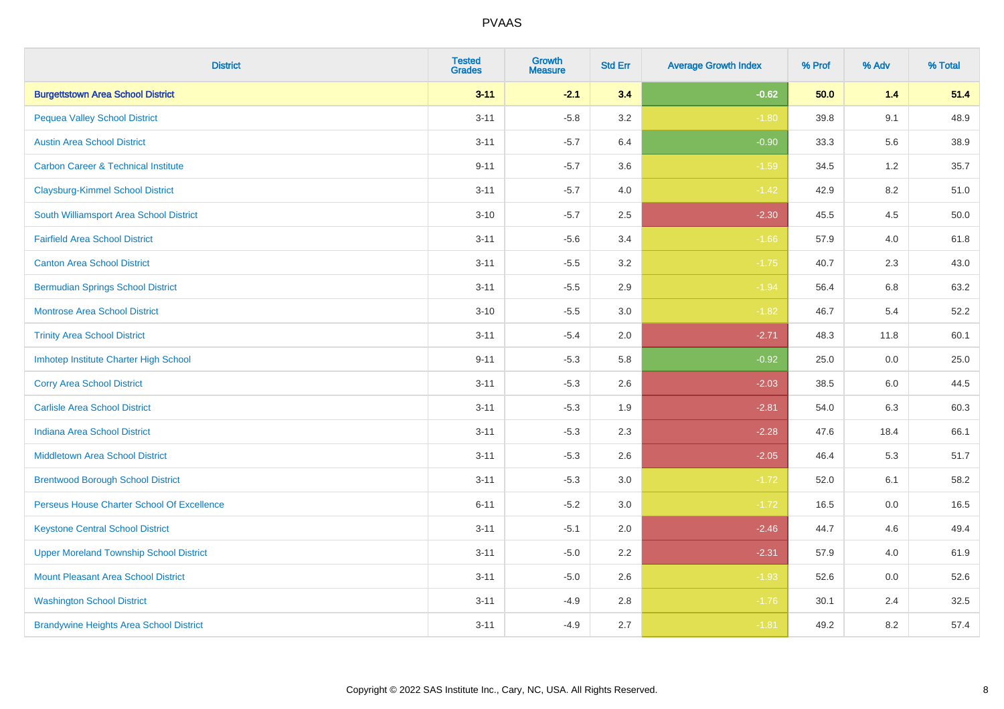| <b>District</b>                                | <b>Tested</b><br><b>Grades</b> | <b>Growth</b><br><b>Measure</b> | <b>Std Err</b> | <b>Average Growth Index</b> | % Prof | % Adv | % Total |
|------------------------------------------------|--------------------------------|---------------------------------|----------------|-----------------------------|--------|-------|---------|
| <b>Burgettstown Area School District</b>       | $3 - 11$                       | $-2.1$                          | 3.4            | $-0.62$                     | 50.0   | $1.4$ | 51.4    |
| <b>Pequea Valley School District</b>           | $3 - 11$                       | $-5.8$                          | 3.2            | $-1.80$                     | 39.8   | 9.1   | 48.9    |
| <b>Austin Area School District</b>             | $3 - 11$                       | $-5.7$                          | 6.4            | $-0.90$                     | 33.3   | 5.6   | 38.9    |
| <b>Carbon Career &amp; Technical Institute</b> | $9 - 11$                       | $-5.7$                          | 3.6            | $-1.59$                     | 34.5   | 1.2   | 35.7    |
| <b>Claysburg-Kimmel School District</b>        | $3 - 11$                       | $-5.7$                          | 4.0            | $-1.42$                     | 42.9   | 8.2   | 51.0    |
| South Williamsport Area School District        | $3 - 10$                       | $-5.7$                          | 2.5            | $-2.30$                     | 45.5   | 4.5   | 50.0    |
| <b>Fairfield Area School District</b>          | $3 - 11$                       | $-5.6$                          | 3.4            | $-1.66$                     | 57.9   | 4.0   | 61.8    |
| <b>Canton Area School District</b>             | $3 - 11$                       | $-5.5$                          | 3.2            | $-1.75$                     | 40.7   | 2.3   | 43.0    |
| <b>Bermudian Springs School District</b>       | $3 - 11$                       | $-5.5$                          | 2.9            | $-1.94$                     | 56.4   | 6.8   | 63.2    |
| <b>Montrose Area School District</b>           | $3 - 10$                       | $-5.5$                          | 3.0            | $-1.82$                     | 46.7   | 5.4   | 52.2    |
| <b>Trinity Area School District</b>            | $3 - 11$                       | $-5.4$                          | 2.0            | $-2.71$                     | 48.3   | 11.8  | 60.1    |
| Imhotep Institute Charter High School          | $9 - 11$                       | $-5.3$                          | 5.8            | $-0.92$                     | 25.0   | 0.0   | 25.0    |
| <b>Corry Area School District</b>              | $3 - 11$                       | $-5.3$                          | 2.6            | $-2.03$                     | 38.5   | 6.0   | 44.5    |
| <b>Carlisle Area School District</b>           | $3 - 11$                       | $-5.3$                          | 1.9            | $-2.81$                     | 54.0   | 6.3   | 60.3    |
| <b>Indiana Area School District</b>            | $3 - 11$                       | $-5.3$                          | 2.3            | $-2.28$                     | 47.6   | 18.4  | 66.1    |
| <b>Middletown Area School District</b>         | $3 - 11$                       | $-5.3$                          | 2.6            | $-2.05$                     | 46.4   | 5.3   | 51.7    |
| <b>Brentwood Borough School District</b>       | $3 - 11$                       | $-5.3$                          | 3.0            | $-1.72$                     | 52.0   | 6.1   | 58.2    |
| Perseus House Charter School Of Excellence     | $6 - 11$                       | $-5.2$                          | 3.0            | $-1.72$                     | 16.5   | 0.0   | 16.5    |
| <b>Keystone Central School District</b>        | $3 - 11$                       | $-5.1$                          | 2.0            | $-2.46$                     | 44.7   | 4.6   | 49.4    |
| <b>Upper Moreland Township School District</b> | $3 - 11$                       | $-5.0$                          | 2.2            | $-2.31$                     | 57.9   | 4.0   | 61.9    |
| <b>Mount Pleasant Area School District</b>     | $3 - 11$                       | $-5.0$                          | 2.6            | $-1.93$                     | 52.6   | 0.0   | 52.6    |
| <b>Washington School District</b>              | $3 - 11$                       | $-4.9$                          | 2.8            | $-1.76$                     | 30.1   | 2.4   | 32.5    |
| <b>Brandywine Heights Area School District</b> | $3 - 11$                       | $-4.9$                          | 2.7            | $-1.81$                     | 49.2   | 8.2   | 57.4    |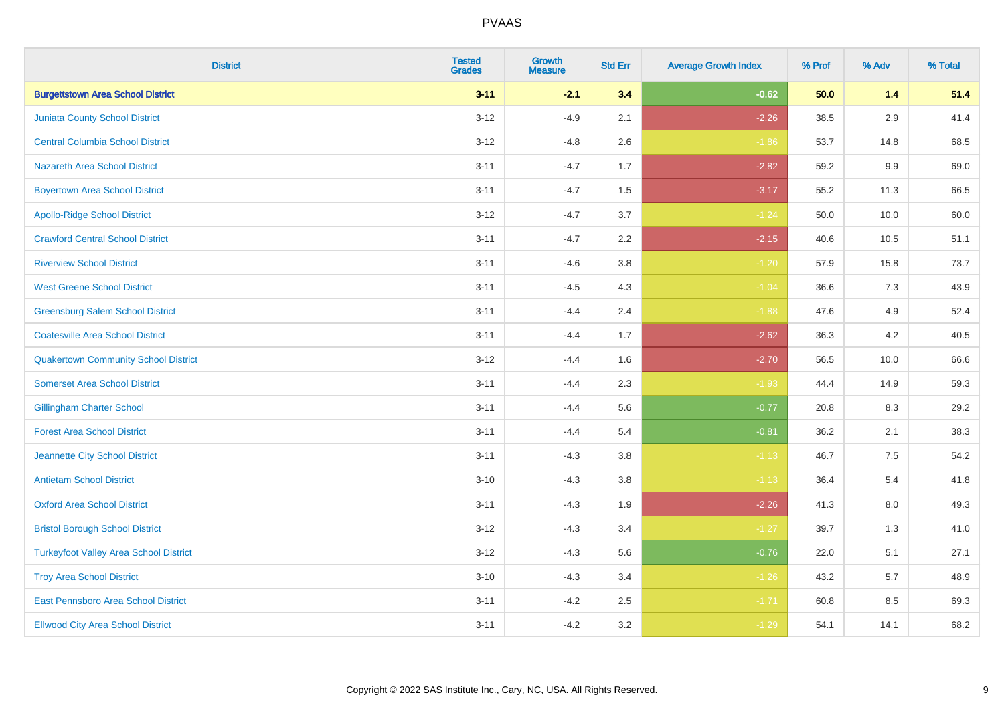| <b>District</b>                               | <b>Tested</b><br><b>Grades</b> | <b>Growth</b><br><b>Measure</b> | <b>Std Err</b> | <b>Average Growth Index</b> | % Prof | % Adv   | % Total |
|-----------------------------------------------|--------------------------------|---------------------------------|----------------|-----------------------------|--------|---------|---------|
| <b>Burgettstown Area School District</b>      | $3 - 11$                       | $-2.1$                          | 3.4            | $-0.62$                     | 50.0   | $1.4$   | 51.4    |
| <b>Juniata County School District</b>         | $3 - 12$                       | $-4.9$                          | 2.1            | $-2.26$                     | 38.5   | $2.9\,$ | 41.4    |
| <b>Central Columbia School District</b>       | $3 - 12$                       | $-4.8$                          | 2.6            | $-1.86$                     | 53.7   | 14.8    | 68.5    |
| <b>Nazareth Area School District</b>          | $3 - 11$                       | $-4.7$                          | 1.7            | $-2.82$                     | 59.2   | $9.9\,$ | 69.0    |
| <b>Boyertown Area School District</b>         | $3 - 11$                       | $-4.7$                          | 1.5            | $-3.17$                     | 55.2   | 11.3    | 66.5    |
| <b>Apollo-Ridge School District</b>           | $3 - 12$                       | $-4.7$                          | 3.7            | $-1.24$                     | 50.0   | 10.0    | 60.0    |
| <b>Crawford Central School District</b>       | $3 - 11$                       | $-4.7$                          | 2.2            | $-2.15$                     | 40.6   | 10.5    | 51.1    |
| <b>Riverview School District</b>              | $3 - 11$                       | $-4.6$                          | 3.8            | $-1.20$                     | 57.9   | 15.8    | 73.7    |
| <b>West Greene School District</b>            | $3 - 11$                       | $-4.5$                          | 4.3            | $-1.04$                     | 36.6   | 7.3     | 43.9    |
| <b>Greensburg Salem School District</b>       | $3 - 11$                       | $-4.4$                          | 2.4            | $-1.88$                     | 47.6   | 4.9     | 52.4    |
| <b>Coatesville Area School District</b>       | $3 - 11$                       | $-4.4$                          | 1.7            | $-2.62$                     | 36.3   | 4.2     | 40.5    |
| <b>Quakertown Community School District</b>   | $3 - 12$                       | $-4.4$                          | 1.6            | $-2.70$                     | 56.5   | 10.0    | 66.6    |
| <b>Somerset Area School District</b>          | $3 - 11$                       | $-4.4$                          | 2.3            | $-1.93$                     | 44.4   | 14.9    | 59.3    |
| <b>Gillingham Charter School</b>              | $3 - 11$                       | $-4.4$                          | 5.6            | $-0.77$                     | 20.8   | 8.3     | 29.2    |
| <b>Forest Area School District</b>            | $3 - 11$                       | $-4.4$                          | 5.4            | $-0.81$                     | 36.2   | 2.1     | 38.3    |
| Jeannette City School District                | $3 - 11$                       | $-4.3$                          | 3.8            | $-1.13$                     | 46.7   | $7.5\,$ | 54.2    |
| <b>Antietam School District</b>               | $3 - 10$                       | $-4.3$                          | 3.8            | $-1.13$                     | 36.4   | $5.4$   | 41.8    |
| <b>Oxford Area School District</b>            | $3 - 11$                       | $-4.3$                          | 1.9            | $-2.26$                     | 41.3   | 8.0     | 49.3    |
| <b>Bristol Borough School District</b>        | $3-12$                         | $-4.3$                          | 3.4            | $-1.27$                     | 39.7   | 1.3     | 41.0    |
| <b>Turkeyfoot Valley Area School District</b> | $3 - 12$                       | $-4.3$                          | 5.6            | $-0.76$                     | 22.0   | 5.1     | 27.1    |
| <b>Troy Area School District</b>              | $3 - 10$                       | $-4.3$                          | 3.4            | $-1.26$                     | 43.2   | 5.7     | 48.9    |
| East Pennsboro Area School District           | $3 - 11$                       | $-4.2$                          | 2.5            | $-1.71$                     | 60.8   | 8.5     | 69.3    |
| <b>Ellwood City Area School District</b>      | $3 - 11$                       | $-4.2$                          | 3.2            | $-1.29$                     | 54.1   | 14.1    | 68.2    |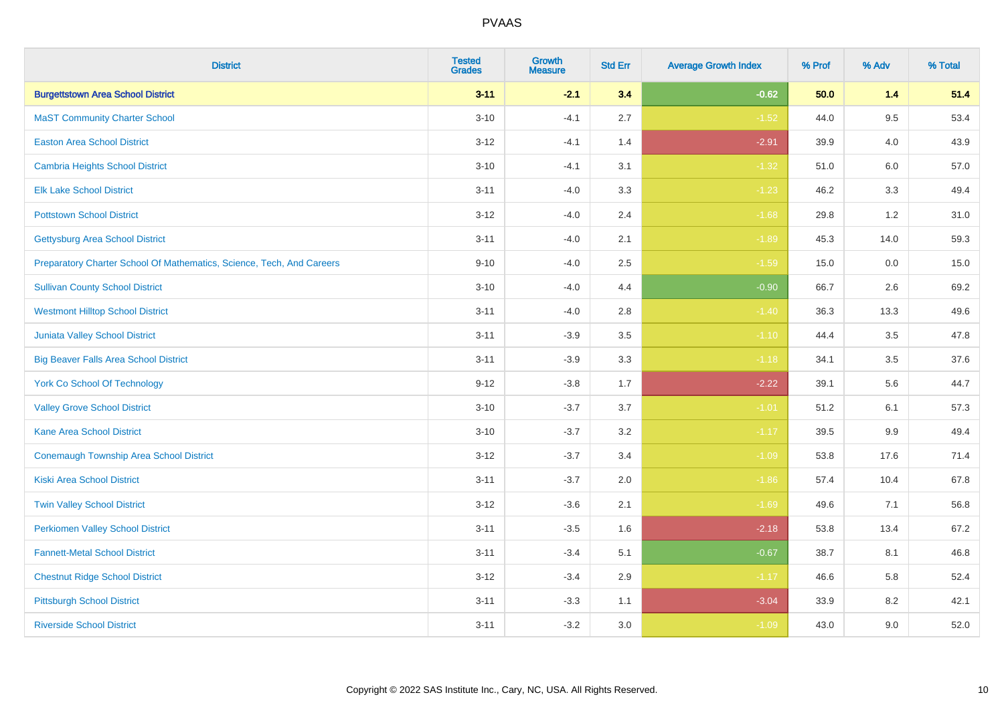| <b>District</b>                                                       | <b>Tested</b><br><b>Grades</b> | <b>Growth</b><br><b>Measure</b> | <b>Std Err</b> | <b>Average Growth Index</b> | % Prof | % Adv   | % Total |
|-----------------------------------------------------------------------|--------------------------------|---------------------------------|----------------|-----------------------------|--------|---------|---------|
| <b>Burgettstown Area School District</b>                              | $3 - 11$                       | $-2.1$                          | 3.4            | $-0.62$                     | 50.0   | $1.4$   | 51.4    |
| <b>MaST Community Charter School</b>                                  | $3 - 10$                       | $-4.1$                          | 2.7            | $-1.52$                     | 44.0   | 9.5     | 53.4    |
| <b>Easton Area School District</b>                                    | $3 - 12$                       | $-4.1$                          | 1.4            | $-2.91$                     | 39.9   | 4.0     | 43.9    |
| <b>Cambria Heights School District</b>                                | $3 - 10$                       | $-4.1$                          | 3.1            | $-1.32$                     | 51.0   | $6.0\,$ | 57.0    |
| <b>Elk Lake School District</b>                                       | $3 - 11$                       | $-4.0$                          | 3.3            | $-1.23$                     | 46.2   | 3.3     | 49.4    |
| <b>Pottstown School District</b>                                      | $3 - 12$                       | $-4.0$                          | 2.4            | $-1.68$                     | 29.8   | 1.2     | 31.0    |
| <b>Gettysburg Area School District</b>                                | $3 - 11$                       | $-4.0$                          | 2.1            | $-1.89$                     | 45.3   | 14.0    | 59.3    |
| Preparatory Charter School Of Mathematics, Science, Tech, And Careers | $9 - 10$                       | $-4.0$                          | 2.5            | $-1.59$                     | 15.0   | 0.0     | 15.0    |
| <b>Sullivan County School District</b>                                | $3 - 10$                       | $-4.0$                          | 4.4            | $-0.90$                     | 66.7   | 2.6     | 69.2    |
| <b>Westmont Hilltop School District</b>                               | $3 - 11$                       | $-4.0$                          | 2.8            | $-1.40$                     | 36.3   | 13.3    | 49.6    |
| Juniata Valley School District                                        | $3 - 11$                       | $-3.9$                          | 3.5            | $-1.10$                     | 44.4   | 3.5     | 47.8    |
| <b>Big Beaver Falls Area School District</b>                          | $3 - 11$                       | $-3.9$                          | 3.3            | $-1.18$                     | 34.1   | 3.5     | 37.6    |
| <b>York Co School Of Technology</b>                                   | $9 - 12$                       | $-3.8$                          | 1.7            | $-2.22$                     | 39.1   | 5.6     | 44.7    |
| <b>Valley Grove School District</b>                                   | $3 - 10$                       | $-3.7$                          | 3.7            | $-1.01$                     | 51.2   | 6.1     | 57.3    |
| <b>Kane Area School District</b>                                      | $3 - 10$                       | $-3.7$                          | 3.2            | $-1.17$                     | 39.5   | 9.9     | 49.4    |
| <b>Conemaugh Township Area School District</b>                        | $3 - 12$                       | $-3.7$                          | 3.4            | $-1.09$                     | 53.8   | 17.6    | 71.4    |
| <b>Kiski Area School District</b>                                     | $3 - 11$                       | $-3.7$                          | 2.0            | $-1.86$                     | 57.4   | 10.4    | 67.8    |
| <b>Twin Valley School District</b>                                    | $3 - 12$                       | $-3.6$                          | 2.1            | $-1.69$                     | 49.6   | 7.1     | 56.8    |
| <b>Perkiomen Valley School District</b>                               | $3 - 11$                       | $-3.5$                          | 1.6            | $-2.18$                     | 53.8   | 13.4    | 67.2    |
| <b>Fannett-Metal School District</b>                                  | $3 - 11$                       | $-3.4$                          | 5.1            | $-0.67$                     | 38.7   | 8.1     | 46.8    |
| <b>Chestnut Ridge School District</b>                                 | $3 - 12$                       | $-3.4$                          | 2.9            | $-1.17$                     | 46.6   | 5.8     | 52.4    |
| <b>Pittsburgh School District</b>                                     | $3 - 11$                       | $-3.3$                          | 1.1            | $-3.04$                     | 33.9   | 8.2     | 42.1    |
| <b>Riverside School District</b>                                      | $3 - 11$                       | $-3.2$                          | 3.0            | $-1.09$                     | 43.0   | 9.0     | 52.0    |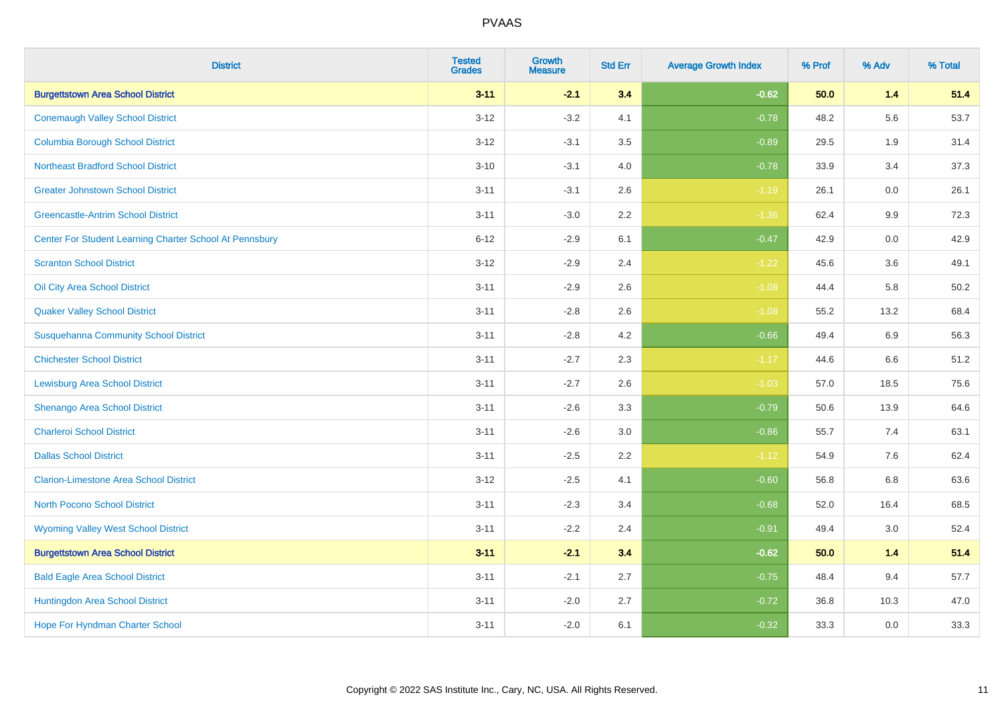| <b>District</b>                                         | <b>Tested</b><br><b>Grades</b> | <b>Growth</b><br><b>Measure</b> | <b>Std Err</b> | <b>Average Growth Index</b> | % Prof | % Adv   | % Total |
|---------------------------------------------------------|--------------------------------|---------------------------------|----------------|-----------------------------|--------|---------|---------|
| <b>Burgettstown Area School District</b>                | $3 - 11$                       | $-2.1$                          | 3.4            | $-0.62$                     | 50.0   | $1.4$   | 51.4    |
| <b>Conemaugh Valley School District</b>                 | $3 - 12$                       | $-3.2$                          | 4.1            | $-0.78$                     | 48.2   | 5.6     | 53.7    |
| <b>Columbia Borough School District</b>                 | $3 - 12$                       | $-3.1$                          | 3.5            | $-0.89$                     | 29.5   | 1.9     | 31.4    |
| <b>Northeast Bradford School District</b>               | $3 - 10$                       | $-3.1$                          | 4.0            | $-0.78$                     | 33.9   | 3.4     | 37.3    |
| <b>Greater Johnstown School District</b>                | $3 - 11$                       | $-3.1$                          | 2.6            | $-1.19$                     | 26.1   | 0.0     | 26.1    |
| <b>Greencastle-Antrim School District</b>               | $3 - 11$                       | $-3.0$                          | 2.2            | $-1.36$                     | 62.4   | 9.9     | 72.3    |
| Center For Student Learning Charter School At Pennsbury | $6 - 12$                       | $-2.9$                          | 6.1            | $-0.47$                     | 42.9   | 0.0     | 42.9    |
| <b>Scranton School District</b>                         | $3 - 12$                       | $-2.9$                          | 2.4            | $-1.22$                     | 45.6   | 3.6     | 49.1    |
| Oil City Area School District                           | $3 - 11$                       | $-2.9$                          | 2.6            | $-1.08$                     | 44.4   | 5.8     | 50.2    |
| <b>Quaker Valley School District</b>                    | $3 - 11$                       | $-2.8$                          | 2.6            | $-1.08$                     | 55.2   | 13.2    | 68.4    |
| <b>Susquehanna Community School District</b>            | $3 - 11$                       | $-2.8$                          | 4.2            | $-0.66$                     | 49.4   | 6.9     | 56.3    |
| <b>Chichester School District</b>                       | $3 - 11$                       | $-2.7$                          | 2.3            | $-1.17$                     | 44.6   | 6.6     | 51.2    |
| <b>Lewisburg Area School District</b>                   | $3 - 11$                       | $-2.7$                          | 2.6            | $-1.03$                     | 57.0   | 18.5    | 75.6    |
| Shenango Area School District                           | $3 - 11$                       | $-2.6$                          | 3.3            | $-0.79$                     | 50.6   | 13.9    | 64.6    |
| <b>Charleroi School District</b>                        | $3 - 11$                       | $-2.6$                          | 3.0            | $-0.86$                     | 55.7   | 7.4     | 63.1    |
| <b>Dallas School District</b>                           | $3 - 11$                       | $-2.5$                          | 2.2            | $-1.12$                     | 54.9   | $7.6\,$ | 62.4    |
| <b>Clarion-Limestone Area School District</b>           | $3 - 12$                       | $-2.5$                          | 4.1            | $-0.60$                     | 56.8   | 6.8     | 63.6    |
| North Pocono School District                            | $3 - 11$                       | $-2.3$                          | 3.4            | $-0.68$                     | 52.0   | 16.4    | 68.5    |
| <b>Wyoming Valley West School District</b>              | $3 - 11$                       | $-2.2$                          | 2.4            | $-0.91$                     | 49.4   | 3.0     | 52.4    |
| <b>Burgettstown Area School District</b>                | $3 - 11$                       | $-2.1$                          | 3.4            | $-0.62$                     | 50.0   | 1.4     | 51.4    |
| <b>Bald Eagle Area School District</b>                  | $3 - 11$                       | $-2.1$                          | 2.7            | $-0.75$                     | 48.4   | 9.4     | 57.7    |
| Huntingdon Area School District                         | $3 - 11$                       | $-2.0$                          | 2.7            | $-0.72$                     | 36.8   | 10.3    | 47.0    |
| <b>Hope For Hyndman Charter School</b>                  | $3 - 11$                       | $-2.0$                          | 6.1            | $-0.32$                     | 33.3   | 0.0     | 33.3    |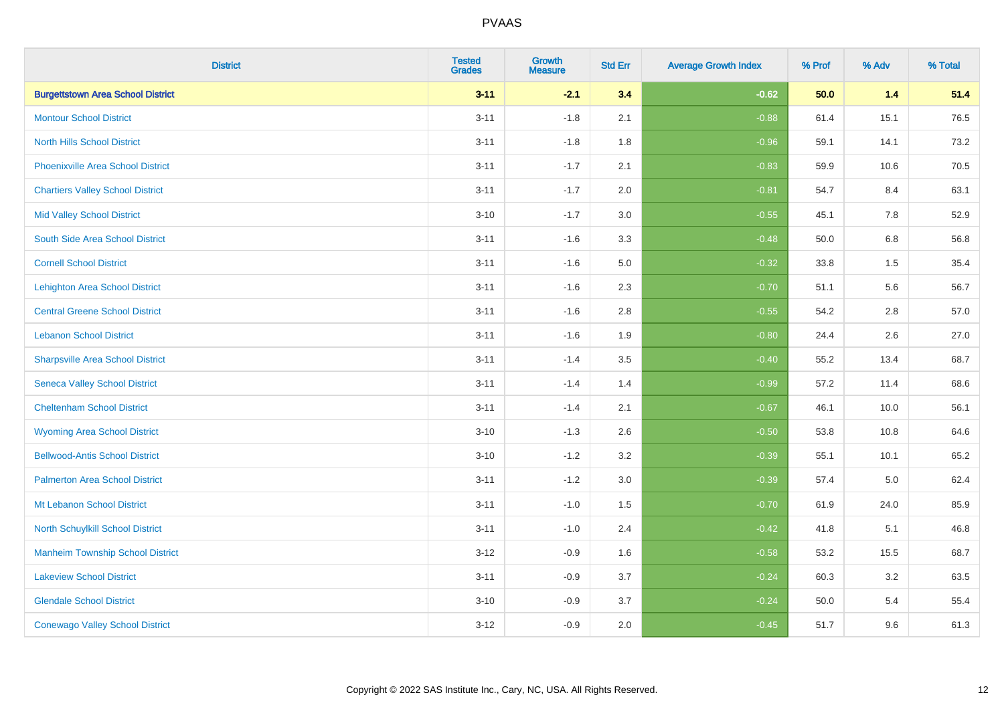| <b>District</b>                          | <b>Tested</b><br><b>Grades</b> | <b>Growth</b><br><b>Measure</b> | <b>Std Err</b> | <b>Average Growth Index</b> | % Prof | % Adv | % Total |
|------------------------------------------|--------------------------------|---------------------------------|----------------|-----------------------------|--------|-------|---------|
| <b>Burgettstown Area School District</b> | $3 - 11$                       | $-2.1$                          | 3.4            | $-0.62$                     | 50.0   | 1.4   | 51.4    |
| <b>Montour School District</b>           | $3 - 11$                       | $-1.8$                          | 2.1            | $-0.88$                     | 61.4   | 15.1  | 76.5    |
| <b>North Hills School District</b>       | $3 - 11$                       | $-1.8$                          | 1.8            | $-0.96$                     | 59.1   | 14.1  | 73.2    |
| <b>Phoenixville Area School District</b> | $3 - 11$                       | $-1.7$                          | 2.1            | $-0.83$                     | 59.9   | 10.6  | 70.5    |
| <b>Chartiers Valley School District</b>  | $3 - 11$                       | $-1.7$                          | 2.0            | $-0.81$                     | 54.7   | 8.4   | 63.1    |
| <b>Mid Valley School District</b>        | $3 - 10$                       | $-1.7$                          | 3.0            | $-0.55$                     | 45.1   | 7.8   | 52.9    |
| South Side Area School District          | $3 - 11$                       | $-1.6$                          | 3.3            | $-0.48$                     | 50.0   | 6.8   | 56.8    |
| <b>Cornell School District</b>           | $3 - 11$                       | $-1.6$                          | 5.0            | $-0.32$                     | 33.8   | 1.5   | 35.4    |
| <b>Lehighton Area School District</b>    | $3 - 11$                       | $-1.6$                          | 2.3            | $-0.70$                     | 51.1   | 5.6   | 56.7    |
| <b>Central Greene School District</b>    | $3 - 11$                       | $-1.6$                          | 2.8            | $-0.55$                     | 54.2   | 2.8   | 57.0    |
| <b>Lebanon School District</b>           | $3 - 11$                       | $-1.6$                          | 1.9            | $-0.80$                     | 24.4   | 2.6   | 27.0    |
| <b>Sharpsville Area School District</b>  | $3 - 11$                       | $-1.4$                          | 3.5            | $-0.40$                     | 55.2   | 13.4  | 68.7    |
| <b>Seneca Valley School District</b>     | $3 - 11$                       | $-1.4$                          | 1.4            | $-0.99$                     | 57.2   | 11.4  | 68.6    |
| <b>Cheltenham School District</b>        | $3 - 11$                       | $-1.4$                          | 2.1            | $-0.67$                     | 46.1   | 10.0  | 56.1    |
| <b>Wyoming Area School District</b>      | $3 - 10$                       | $-1.3$                          | 2.6            | $-0.50$                     | 53.8   | 10.8  | 64.6    |
| <b>Bellwood-Antis School District</b>    | $3 - 10$                       | $-1.2$                          | 3.2            | $-0.39$                     | 55.1   | 10.1  | 65.2    |
| <b>Palmerton Area School District</b>    | $3 - 11$                       | $-1.2$                          | 3.0            | $-0.39$                     | 57.4   | 5.0   | 62.4    |
| Mt Lebanon School District               | $3 - 11$                       | $-1.0$                          | 1.5            | $-0.70$                     | 61.9   | 24.0  | 85.9    |
| <b>North Schuylkill School District</b>  | $3 - 11$                       | $-1.0$                          | 2.4            | $-0.42$                     | 41.8   | 5.1   | 46.8    |
| <b>Manheim Township School District</b>  | $3 - 12$                       | $-0.9$                          | 1.6            | $-0.58$                     | 53.2   | 15.5  | 68.7    |
| <b>Lakeview School District</b>          | $3 - 11$                       | $-0.9$                          | 3.7            | $-0.24$                     | 60.3   | 3.2   | 63.5    |
| <b>Glendale School District</b>          | $3 - 10$                       | $-0.9$                          | 3.7            | $-0.24$                     | 50.0   | 5.4   | 55.4    |
| <b>Conewago Valley School District</b>   | $3 - 12$                       | $-0.9$                          | 2.0            | $-0.45$                     | 51.7   | 9.6   | 61.3    |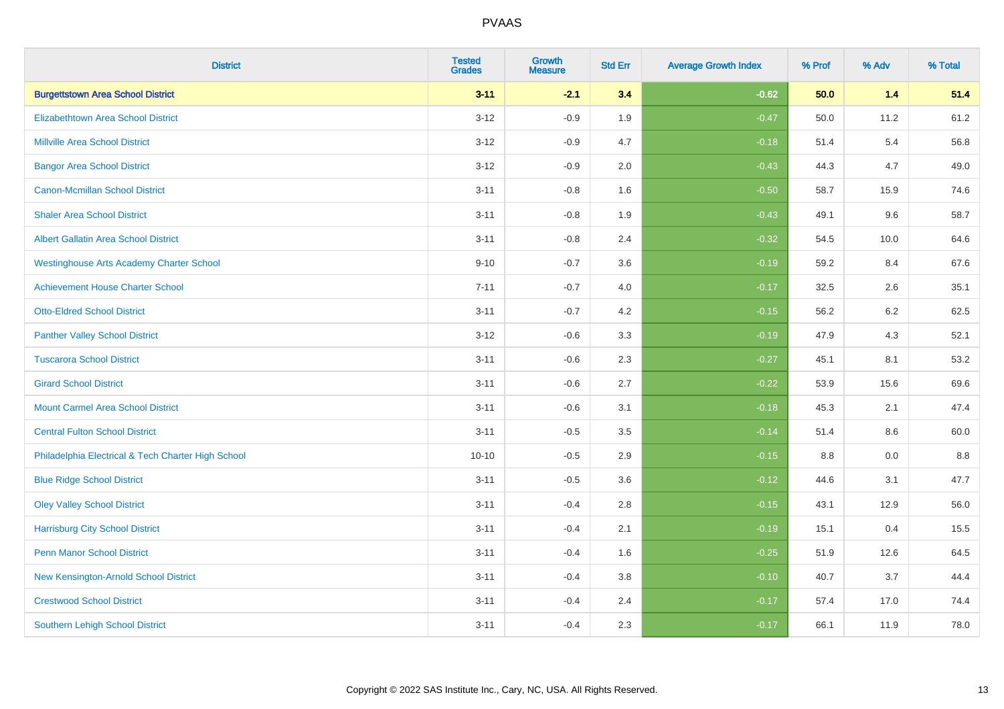| <b>District</b>                                    | <b>Tested</b><br><b>Grades</b> | <b>Growth</b><br><b>Measure</b> | <b>Std Err</b> | <b>Average Growth Index</b> | % Prof | % Adv   | % Total |
|----------------------------------------------------|--------------------------------|---------------------------------|----------------|-----------------------------|--------|---------|---------|
| <b>Burgettstown Area School District</b>           | $3 - 11$                       | $-2.1$                          | 3.4            | $-0.62$                     | 50.0   | 1.4     | 51.4    |
| <b>Elizabethtown Area School District</b>          | $3 - 12$                       | $-0.9$                          | 1.9            | $-0.47$                     | 50.0   | 11.2    | 61.2    |
| <b>Millville Area School District</b>              | $3 - 12$                       | $-0.9$                          | 4.7            | $-0.18$                     | 51.4   | 5.4     | 56.8    |
| <b>Bangor Area School District</b>                 | $3 - 12$                       | $-0.9$                          | 2.0            | $-0.43$                     | 44.3   | 4.7     | 49.0    |
| <b>Canon-Mcmillan School District</b>              | $3 - 11$                       | $-0.8$                          | 1.6            | $-0.50$                     | 58.7   | 15.9    | 74.6    |
| <b>Shaler Area School District</b>                 | $3 - 11$                       | $-0.8$                          | 1.9            | $-0.43$                     | 49.1   | 9.6     | 58.7    |
| <b>Albert Gallatin Area School District</b>        | $3 - 11$                       | $-0.8$                          | 2.4            | $-0.32$                     | 54.5   | 10.0    | 64.6    |
| <b>Westinghouse Arts Academy Charter School</b>    | $9 - 10$                       | $-0.7$                          | 3.6            | $-0.19$                     | 59.2   | 8.4     | 67.6    |
| <b>Achievement House Charter School</b>            | $7 - 11$                       | $-0.7$                          | 4.0            | $-0.17$                     | 32.5   | 2.6     | 35.1    |
| <b>Otto-Eldred School District</b>                 | $3 - 11$                       | $-0.7$                          | 4.2            | $-0.15$                     | 56.2   | $6.2\,$ | 62.5    |
| <b>Panther Valley School District</b>              | $3 - 12$                       | $-0.6$                          | 3.3            | $-0.19$                     | 47.9   | 4.3     | 52.1    |
| <b>Tuscarora School District</b>                   | $3 - 11$                       | $-0.6$                          | 2.3            | $-0.27$                     | 45.1   | 8.1     | 53.2    |
| <b>Girard School District</b>                      | $3 - 11$                       | $-0.6$                          | 2.7            | $-0.22$                     | 53.9   | 15.6    | 69.6    |
| <b>Mount Carmel Area School District</b>           | $3 - 11$                       | $-0.6$                          | 3.1            | $-0.18$                     | 45.3   | 2.1     | 47.4    |
| <b>Central Fulton School District</b>              | $3 - 11$                       | $-0.5$                          | 3.5            | $-0.14$                     | 51.4   | 8.6     | 60.0    |
| Philadelphia Electrical & Tech Charter High School | $10 - 10$                      | $-0.5$                          | 2.9            | $-0.15$                     | 8.8    | 0.0     | 8.8     |
| <b>Blue Ridge School District</b>                  | $3 - 11$                       | $-0.5$                          | 3.6            | $-0.12$                     | 44.6   | 3.1     | 47.7    |
| <b>Oley Valley School District</b>                 | $3 - 11$                       | $-0.4$                          | 2.8            | $-0.15$                     | 43.1   | 12.9    | 56.0    |
| <b>Harrisburg City School District</b>             | $3 - 11$                       | $-0.4$                          | 2.1            | $-0.19$                     | 15.1   | 0.4     | 15.5    |
| <b>Penn Manor School District</b>                  | $3 - 11$                       | $-0.4$                          | 1.6            | $-0.25$                     | 51.9   | 12.6    | 64.5    |
| New Kensington-Arnold School District              | $3 - 11$                       | $-0.4$                          | 3.8            | $-0.10$                     | 40.7   | 3.7     | 44.4    |
| <b>Crestwood School District</b>                   | $3 - 11$                       | $-0.4$                          | 2.4            | $-0.17$                     | 57.4   | 17.0    | 74.4    |
| <b>Southern Lehigh School District</b>             | $3 - 11$                       | $-0.4$                          | 2.3            | $-0.17$                     | 66.1   | 11.9    | 78.0    |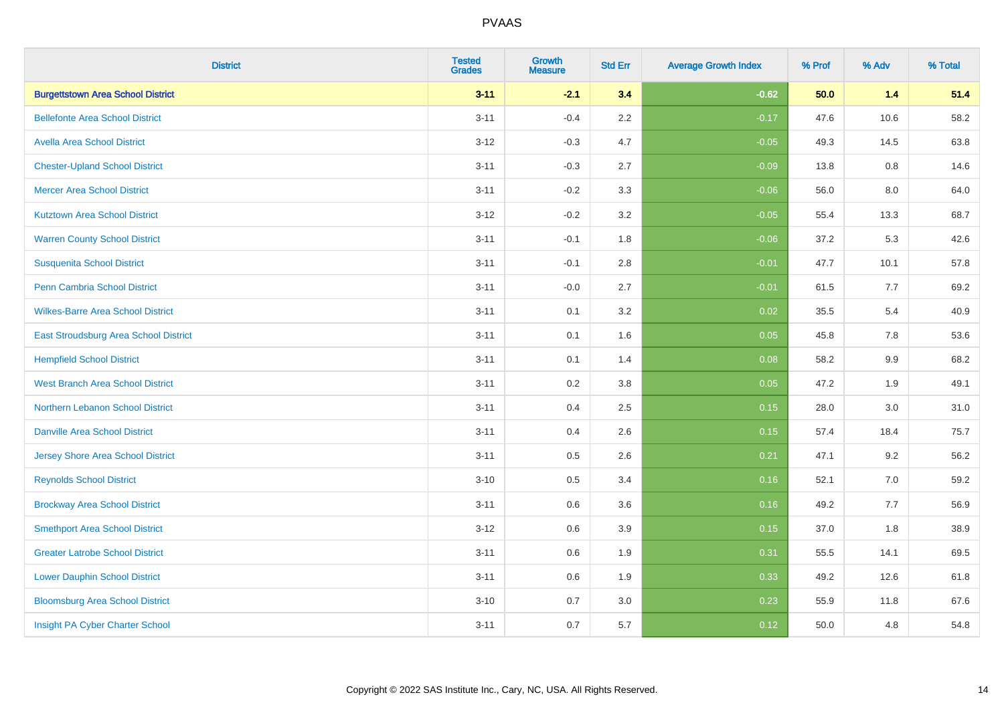| <b>District</b>                          | <b>Tested</b><br><b>Grades</b> | <b>Growth</b><br><b>Measure</b> | <b>Std Err</b> | <b>Average Growth Index</b> | % Prof | % Adv | % Total |
|------------------------------------------|--------------------------------|---------------------------------|----------------|-----------------------------|--------|-------|---------|
| <b>Burgettstown Area School District</b> | $3 - 11$                       | $-2.1$                          | 3.4            | $-0.62$                     | 50.0   | $1.4$ | 51.4    |
| <b>Bellefonte Area School District</b>   | $3 - 11$                       | $-0.4$                          | 2.2            | $-0.17$                     | 47.6   | 10.6  | 58.2    |
| <b>Avella Area School District</b>       | $3 - 12$                       | $-0.3$                          | 4.7            | $-0.05$                     | 49.3   | 14.5  | 63.8    |
| <b>Chester-Upland School District</b>    | $3 - 11$                       | $-0.3$                          | 2.7            | $-0.09$                     | 13.8   | 0.8   | 14.6    |
| <b>Mercer Area School District</b>       | $3 - 11$                       | $-0.2$                          | 3.3            | $-0.06$                     | 56.0   | 8.0   | 64.0    |
| <b>Kutztown Area School District</b>     | $3 - 12$                       | $-0.2$                          | 3.2            | $-0.05$                     | 55.4   | 13.3  | 68.7    |
| <b>Warren County School District</b>     | $3 - 11$                       | $-0.1$                          | 1.8            | $-0.06$                     | 37.2   | 5.3   | 42.6    |
| <b>Susquenita School District</b>        | $3 - 11$                       | $-0.1$                          | 2.8            | $-0.01$                     | 47.7   | 10.1  | 57.8    |
| <b>Penn Cambria School District</b>      | $3 - 11$                       | $-0.0$                          | 2.7            | $-0.01$                     | 61.5   | 7.7   | 69.2    |
| <b>Wilkes-Barre Area School District</b> | $3 - 11$                       | 0.1                             | 3.2            | 0.02                        | 35.5   | 5.4   | 40.9    |
| East Stroudsburg Area School District    | $3 - 11$                       | 0.1                             | 1.6            | 0.05                        | 45.8   | 7.8   | 53.6    |
| <b>Hempfield School District</b>         | $3 - 11$                       | 0.1                             | 1.4            | 0.08                        | 58.2   | 9.9   | 68.2    |
| <b>West Branch Area School District</b>  | $3 - 11$                       | 0.2                             | 3.8            | 0.05                        | 47.2   | 1.9   | 49.1    |
| Northern Lebanon School District         | $3 - 11$                       | 0.4                             | 2.5            | 0.15                        | 28.0   | 3.0   | 31.0    |
| <b>Danville Area School District</b>     | $3 - 11$                       | 0.4                             | 2.6            | 0.15                        | 57.4   | 18.4  | 75.7    |
| <b>Jersey Shore Area School District</b> | $3 - 11$                       | 0.5                             | 2.6            | 0.21                        | 47.1   | 9.2   | 56.2    |
| <b>Reynolds School District</b>          | $3 - 10$                       | 0.5                             | 3.4            | 0.16                        | 52.1   | 7.0   | 59.2    |
| <b>Brockway Area School District</b>     | $3 - 11$                       | 0.6                             | 3.6            | 0.16                        | 49.2   | 7.7   | 56.9    |
| <b>Smethport Area School District</b>    | $3 - 12$                       | 0.6                             | 3.9            | 0.15                        | 37.0   | 1.8   | 38.9    |
| <b>Greater Latrobe School District</b>   | $3 - 11$                       | 0.6                             | 1.9            | 0.31                        | 55.5   | 14.1  | 69.5    |
| <b>Lower Dauphin School District</b>     | $3 - 11$                       | 0.6                             | 1.9            | 0.33                        | 49.2   | 12.6  | 61.8    |
| <b>Bloomsburg Area School District</b>   | $3 - 10$                       | 0.7                             | 3.0            | 0.23                        | 55.9   | 11.8  | 67.6    |
| Insight PA Cyber Charter School          | $3 - 11$                       | 0.7                             | 5.7            | 0.12                        | 50.0   | 4.8   | 54.8    |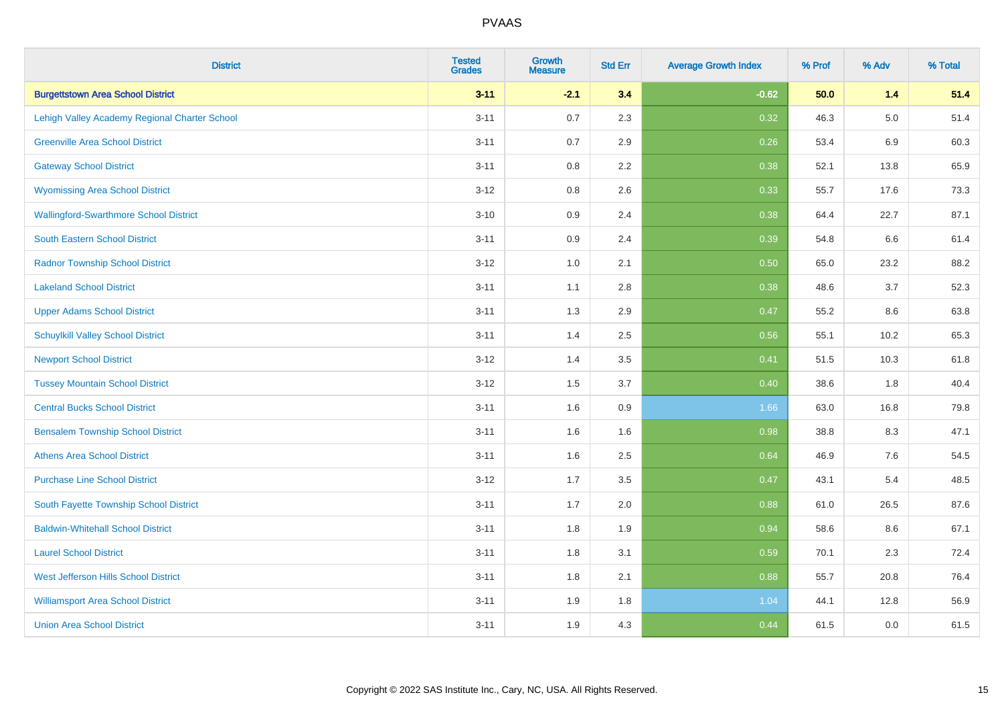| <b>District</b>                               | <b>Tested</b><br><b>Grades</b> | <b>Growth</b><br><b>Measure</b> | <b>Std Err</b> | <b>Average Growth Index</b> | % Prof | % Adv   | % Total |
|-----------------------------------------------|--------------------------------|---------------------------------|----------------|-----------------------------|--------|---------|---------|
| <b>Burgettstown Area School District</b>      | $3 - 11$                       | $-2.1$                          | 3.4            | $-0.62$                     | 50.0   | $1.4$   | 51.4    |
| Lehigh Valley Academy Regional Charter School | $3 - 11$                       | 0.7                             | 2.3            | 0.32                        | 46.3   | $5.0\,$ | 51.4    |
| <b>Greenville Area School District</b>        | $3 - 11$                       | 0.7                             | 2.9            | 0.26                        | 53.4   | 6.9     | 60.3    |
| <b>Gateway School District</b>                | $3 - 11$                       | $0.8\,$                         | 2.2            | 0.38                        | 52.1   | 13.8    | 65.9    |
| <b>Wyomissing Area School District</b>        | $3 - 12$                       | 0.8                             | 2.6            | 0.33                        | 55.7   | 17.6    | 73.3    |
| <b>Wallingford-Swarthmore School District</b> | $3 - 10$                       | 0.9                             | 2.4            | 0.38                        | 64.4   | 22.7    | 87.1    |
| South Eastern School District                 | $3 - 11$                       | 0.9                             | 2.4            | 0.39                        | 54.8   | 6.6     | 61.4    |
| <b>Radnor Township School District</b>        | $3 - 12$                       | 1.0                             | 2.1            | 0.50                        | 65.0   | 23.2    | 88.2    |
| <b>Lakeland School District</b>               | $3 - 11$                       | 1.1                             | 2.8            | 0.38                        | 48.6   | 3.7     | 52.3    |
| <b>Upper Adams School District</b>            | $3 - 11$                       | 1.3                             | 2.9            | 0.47                        | 55.2   | 8.6     | 63.8    |
| <b>Schuylkill Valley School District</b>      | $3 - 11$                       | 1.4                             | 2.5            | 0.56                        | 55.1   | 10.2    | 65.3    |
| <b>Newport School District</b>                | $3 - 12$                       | 1.4                             | 3.5            | 0.41                        | 51.5   | 10.3    | 61.8    |
| <b>Tussey Mountain School District</b>        | $3 - 12$                       | 1.5                             | 3.7            | 0.40                        | 38.6   | 1.8     | 40.4    |
| <b>Central Bucks School District</b>          | $3 - 11$                       | 1.6                             | $0.9\,$        | 1.66                        | 63.0   | 16.8    | 79.8    |
| <b>Bensalem Township School District</b>      | $3 - 11$                       | 1.6                             | 1.6            | 0.98                        | 38.8   | 8.3     | 47.1    |
| <b>Athens Area School District</b>            | $3 - 11$                       | 1.6                             | 2.5            | 0.64                        | 46.9   | 7.6     | 54.5    |
| <b>Purchase Line School District</b>          | $3 - 12$                       | 1.7                             | 3.5            | 0.47                        | 43.1   | 5.4     | 48.5    |
| South Fayette Township School District        | $3 - 11$                       | 1.7                             | 2.0            | 0.88                        | 61.0   | 26.5    | 87.6    |
| <b>Baldwin-Whitehall School District</b>      | $3 - 11$                       | 1.8                             | 1.9            | 0.94                        | 58.6   | 8.6     | 67.1    |
| <b>Laurel School District</b>                 | $3 - 11$                       | 1.8                             | 3.1            | 0.59                        | 70.1   | 2.3     | 72.4    |
| <b>West Jefferson Hills School District</b>   | $3 - 11$                       | 1.8                             | 2.1            | 0.88                        | 55.7   | 20.8    | 76.4    |
| <b>Williamsport Area School District</b>      | $3 - 11$                       | 1.9                             | 1.8            | 1.04                        | 44.1   | 12.8    | 56.9    |
| <b>Union Area School District</b>             | $3 - 11$                       | 1.9                             | 4.3            | 0.44                        | 61.5   | 0.0     | 61.5    |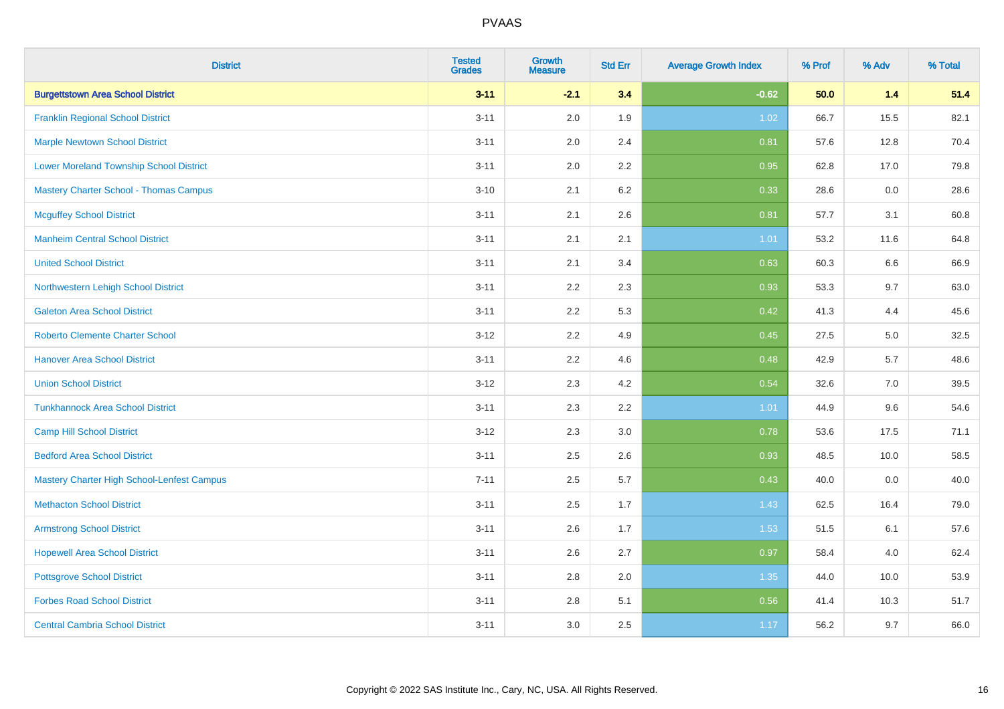| <b>District</b>                                | <b>Tested</b><br><b>Grades</b> | <b>Growth</b><br><b>Measure</b> | <b>Std Err</b> | <b>Average Growth Index</b> | % Prof | % Adv | % Total |
|------------------------------------------------|--------------------------------|---------------------------------|----------------|-----------------------------|--------|-------|---------|
| <b>Burgettstown Area School District</b>       | $3 - 11$                       | $-2.1$                          | 3.4            | $-0.62$                     | 50.0   | $1.4$ | 51.4    |
| <b>Franklin Regional School District</b>       | $3 - 11$                       | 2.0                             | 1.9            | 1.02                        | 66.7   | 15.5  | 82.1    |
| <b>Marple Newtown School District</b>          | $3 - 11$                       | 2.0                             | 2.4            | 0.81                        | 57.6   | 12.8  | 70.4    |
| <b>Lower Moreland Township School District</b> | $3 - 11$                       | 2.0                             | 2.2            | 0.95                        | 62.8   | 17.0  | 79.8    |
| <b>Mastery Charter School - Thomas Campus</b>  | $3 - 10$                       | 2.1                             | 6.2            | 0.33                        | 28.6   | 0.0   | 28.6    |
| <b>Mcguffey School District</b>                | $3 - 11$                       | 2.1                             | 2.6            | 0.81                        | 57.7   | 3.1   | 60.8    |
| <b>Manheim Central School District</b>         | $3 - 11$                       | 2.1                             | 2.1            | 1.01                        | 53.2   | 11.6  | 64.8    |
| <b>United School District</b>                  | $3 - 11$                       | 2.1                             | 3.4            | 0.63                        | 60.3   | 6.6   | 66.9    |
| Northwestern Lehigh School District            | $3 - 11$                       | 2.2                             | 2.3            | 0.93                        | 53.3   | 9.7   | 63.0    |
| <b>Galeton Area School District</b>            | $3 - 11$                       | 2.2                             | 5.3            | 0.42                        | 41.3   | 4.4   | 45.6    |
| <b>Roberto Clemente Charter School</b>         | $3 - 12$                       | 2.2                             | 4.9            | 0.45                        | 27.5   | 5.0   | 32.5    |
| <b>Hanover Area School District</b>            | $3 - 11$                       | 2.2                             | 4.6            | 0.48                        | 42.9   | 5.7   | 48.6    |
| <b>Union School District</b>                   | $3 - 12$                       | 2.3                             | 4.2            | 0.54                        | 32.6   | 7.0   | 39.5    |
| <b>Tunkhannock Area School District</b>        | $3 - 11$                       | 2.3                             | 2.2            | 1.01                        | 44.9   | 9.6   | 54.6    |
| <b>Camp Hill School District</b>               | $3 - 12$                       | 2.3                             | 3.0            | 0.78                        | 53.6   | 17.5  | 71.1    |
| <b>Bedford Area School District</b>            | $3 - 11$                       | 2.5                             | 2.6            | 0.93                        | 48.5   | 10.0  | 58.5    |
| Mastery Charter High School-Lenfest Campus     | $7 - 11$                       | 2.5                             | 5.7            | 0.43                        | 40.0   | 0.0   | 40.0    |
| <b>Methacton School District</b>               | $3 - 11$                       | 2.5                             | 1.7            | 1.43                        | 62.5   | 16.4  | 79.0    |
| <b>Armstrong School District</b>               | $3 - 11$                       | 2.6                             | 1.7            | 1.53                        | 51.5   | 6.1   | 57.6    |
| <b>Hopewell Area School District</b>           | $3 - 11$                       | 2.6                             | 2.7            | 0.97                        | 58.4   | 4.0   | 62.4    |
| <b>Pottsgrove School District</b>              | $3 - 11$                       | 2.8                             | 2.0            | 1.35                        | 44.0   | 10.0  | 53.9    |
| <b>Forbes Road School District</b>             | $3 - 11$                       | $2.8\,$                         | 5.1            | 0.56                        | 41.4   | 10.3  | 51.7    |
| <b>Central Cambria School District</b>         | $3 - 11$                       | 3.0                             | 2.5            | 1.17                        | 56.2   | 9.7   | 66.0    |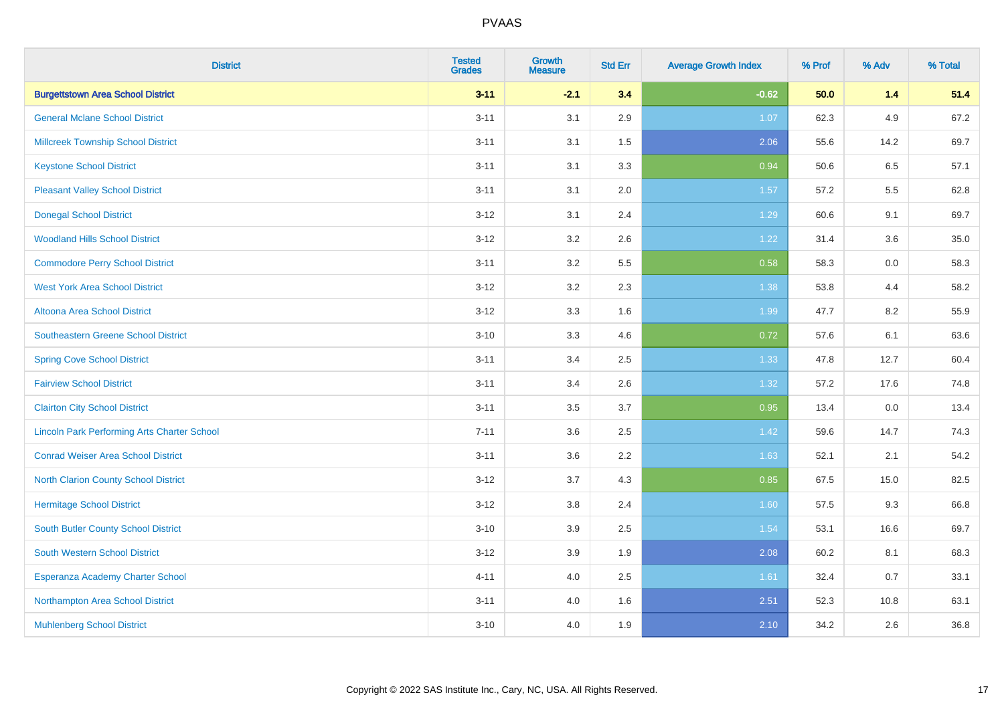| <b>District</b>                                    | <b>Tested</b><br><b>Grades</b> | <b>Growth</b><br><b>Measure</b> | <b>Std Err</b> | <b>Average Growth Index</b> | % Prof | % Adv | % Total |
|----------------------------------------------------|--------------------------------|---------------------------------|----------------|-----------------------------|--------|-------|---------|
| <b>Burgettstown Area School District</b>           | $3 - 11$                       | $-2.1$                          | 3.4            | $-0.62$                     | 50.0   | $1.4$ | 51.4    |
| <b>General Mclane School District</b>              | $3 - 11$                       | 3.1                             | 2.9            | 1.07                        | 62.3   | 4.9   | 67.2    |
| <b>Millcreek Township School District</b>          | $3 - 11$                       | 3.1                             | 1.5            | 2.06                        | 55.6   | 14.2  | 69.7    |
| <b>Keystone School District</b>                    | $3 - 11$                       | 3.1                             | 3.3            | 0.94                        | 50.6   | 6.5   | 57.1    |
| <b>Pleasant Valley School District</b>             | $3 - 11$                       | 3.1                             | 2.0            | 1.57                        | 57.2   | 5.5   | 62.8    |
| <b>Donegal School District</b>                     | $3 - 12$                       | 3.1                             | 2.4            | 1.29                        | 60.6   | 9.1   | 69.7    |
| <b>Woodland Hills School District</b>              | $3 - 12$                       | 3.2                             | 2.6            | 1.22                        | 31.4   | 3.6   | 35.0    |
| <b>Commodore Perry School District</b>             | $3 - 11$                       | 3.2                             | 5.5            | 0.58                        | 58.3   | 0.0   | 58.3    |
| <b>West York Area School District</b>              | $3 - 12$                       | 3.2                             | 2.3            | 1.38                        | 53.8   | 4.4   | 58.2    |
| <b>Altoona Area School District</b>                | $3 - 12$                       | 3.3                             | 1.6            | 1.99                        | 47.7   | 8.2   | 55.9    |
| Southeastern Greene School District                | $3 - 10$                       | 3.3                             | 4.6            | 0.72                        | 57.6   | 6.1   | 63.6    |
| <b>Spring Cove School District</b>                 | $3 - 11$                       | 3.4                             | 2.5            | 1.33                        | 47.8   | 12.7  | 60.4    |
| <b>Fairview School District</b>                    | $3 - 11$                       | 3.4                             | 2.6            | 1.32                        | 57.2   | 17.6  | 74.8    |
| <b>Clairton City School District</b>               | $3 - 11$                       | $3.5\,$                         | 3.7            | 0.95                        | 13.4   | 0.0   | 13.4    |
| <b>Lincoln Park Performing Arts Charter School</b> | $7 - 11$                       | 3.6                             | 2.5            | 1.42                        | 59.6   | 14.7  | 74.3    |
| <b>Conrad Weiser Area School District</b>          | $3 - 11$                       | 3.6                             | 2.2            | 1.63                        | 52.1   | 2.1   | 54.2    |
| <b>North Clarion County School District</b>        | $3 - 12$                       | 3.7                             | 4.3            | 0.85                        | 67.5   | 15.0  | 82.5    |
| <b>Hermitage School District</b>                   | $3 - 12$                       | 3.8                             | 2.4            | 1.60                        | 57.5   | 9.3   | 66.8    |
| <b>South Butler County School District</b>         | $3 - 10$                       | 3.9                             | 2.5            | 1.54                        | 53.1   | 16.6  | 69.7    |
| <b>South Western School District</b>               | $3 - 12$                       | 3.9                             | 1.9            | 2.08                        | 60.2   | 8.1   | 68.3    |
| Esperanza Academy Charter School                   | $4 - 11$                       | 4.0                             | 2.5            | 1.61                        | 32.4   | 0.7   | 33.1    |
| Northampton Area School District                   | $3 - 11$                       | 4.0                             | 1.6            | 2.51                        | 52.3   | 10.8  | 63.1    |
| <b>Muhlenberg School District</b>                  | $3 - 10$                       | 4.0                             | 1.9            | 2.10                        | 34.2   | 2.6   | 36.8    |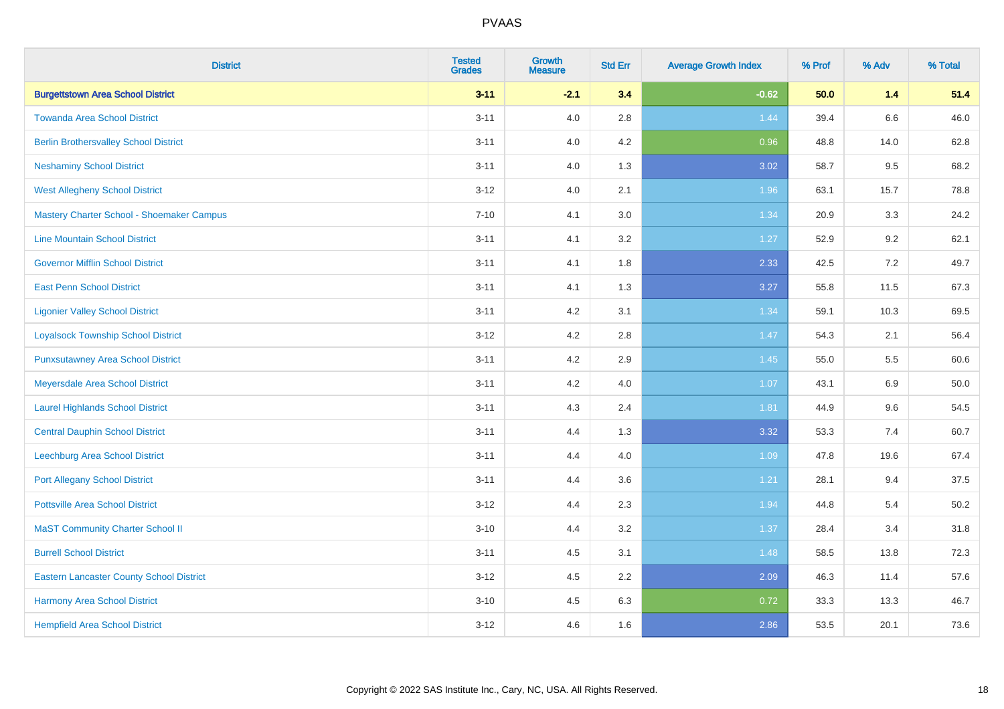| <b>District</b>                                 | <b>Tested</b><br><b>Grades</b> | <b>Growth</b><br><b>Measure</b> | <b>Std Err</b> | <b>Average Growth Index</b> | % Prof | % Adv | % Total |
|-------------------------------------------------|--------------------------------|---------------------------------|----------------|-----------------------------|--------|-------|---------|
| <b>Burgettstown Area School District</b>        | $3 - 11$                       | $-2.1$                          | 3.4            | $-0.62$                     | 50.0   | $1.4$ | 51.4    |
| <b>Towanda Area School District</b>             | $3 - 11$                       | 4.0                             | 2.8            | 1.44                        | 39.4   | 6.6   | 46.0    |
| <b>Berlin Brothersvalley School District</b>    | $3 - 11$                       | 4.0                             | 4.2            | 0.96                        | 48.8   | 14.0  | 62.8    |
| <b>Neshaminy School District</b>                | $3 - 11$                       | 4.0                             | 1.3            | 3.02                        | 58.7   | 9.5   | 68.2    |
| <b>West Allegheny School District</b>           | $3 - 12$                       | 4.0                             | 2.1            | 1.96                        | 63.1   | 15.7  | 78.8    |
| Mastery Charter School - Shoemaker Campus       | $7 - 10$                       | 4.1                             | 3.0            | 1.34                        | 20.9   | 3.3   | 24.2    |
| <b>Line Mountain School District</b>            | $3 - 11$                       | 4.1                             | 3.2            | 1.27                        | 52.9   | 9.2   | 62.1    |
| <b>Governor Mifflin School District</b>         | $3 - 11$                       | 4.1                             | 1.8            | 2.33                        | 42.5   | 7.2   | 49.7    |
| <b>East Penn School District</b>                | $3 - 11$                       | 4.1                             | 1.3            | 3.27                        | 55.8   | 11.5  | 67.3    |
| <b>Ligonier Valley School District</b>          | $3 - 11$                       | 4.2                             | 3.1            | 1.34                        | 59.1   | 10.3  | 69.5    |
| <b>Loyalsock Township School District</b>       | $3 - 12$                       | 4.2                             | 2.8            | 1.47                        | 54.3   | 2.1   | 56.4    |
| <b>Punxsutawney Area School District</b>        | $3 - 11$                       | 4.2                             | 2.9            | 1.45                        | 55.0   | 5.5   | 60.6    |
| Meyersdale Area School District                 | $3 - 11$                       | 4.2                             | 4.0            | 1.07                        | 43.1   | 6.9   | 50.0    |
| <b>Laurel Highlands School District</b>         | $3 - 11$                       | 4.3                             | 2.4            | 1.81                        | 44.9   | 9.6   | 54.5    |
| <b>Central Dauphin School District</b>          | $3 - 11$                       | 4.4                             | 1.3            | 3.32                        | 53.3   | 7.4   | 60.7    |
| Leechburg Area School District                  | $3 - 11$                       | 4.4                             | 4.0            | 1.09                        | 47.8   | 19.6  | 67.4    |
| <b>Port Allegany School District</b>            | $3 - 11$                       | 4.4                             | 3.6            | 1.21                        | 28.1   | 9.4   | 37.5    |
| <b>Pottsville Area School District</b>          | $3 - 12$                       | 4.4                             | 2.3            | 1.94                        | 44.8   | 5.4   | 50.2    |
| <b>MaST Community Charter School II</b>         | $3 - 10$                       | 4.4                             | 3.2            | 1.37                        | 28.4   | 3.4   | 31.8    |
| <b>Burrell School District</b>                  | $3 - 11$                       | 4.5                             | 3.1            | 1.48                        | 58.5   | 13.8  | 72.3    |
| <b>Eastern Lancaster County School District</b> | $3-12$                         | 4.5                             | 2.2            | 2.09                        | 46.3   | 11.4  | 57.6    |
| <b>Harmony Area School District</b>             | $3 - 10$                       | 4.5                             | 6.3            | 0.72                        | 33.3   | 13.3  | 46.7    |
| <b>Hempfield Area School District</b>           | $3 - 12$                       | 4.6                             | 1.6            | 2.86                        | 53.5   | 20.1  | 73.6    |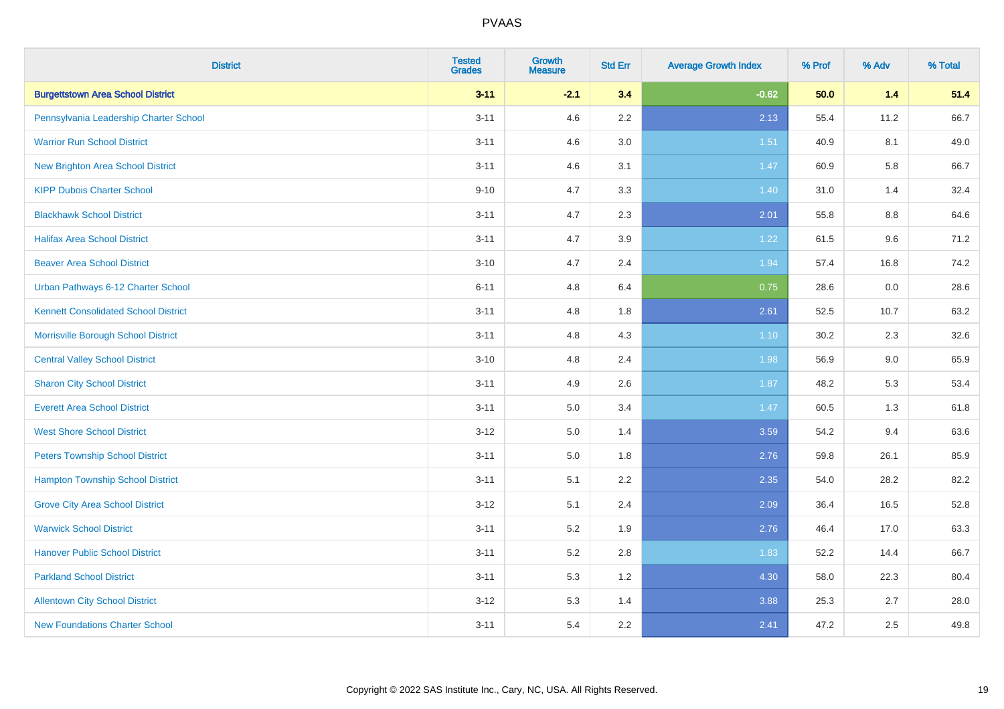| <b>District</b>                             | <b>Tested</b><br><b>Grades</b> | <b>Growth</b><br><b>Measure</b> | <b>Std Err</b> | <b>Average Growth Index</b> | % Prof | % Adv   | % Total |
|---------------------------------------------|--------------------------------|---------------------------------|----------------|-----------------------------|--------|---------|---------|
| <b>Burgettstown Area School District</b>    | $3 - 11$                       | $-2.1$                          | 3.4            | $-0.62$                     | 50.0   | 1.4     | 51.4    |
| Pennsylvania Leadership Charter School      | $3 - 11$                       | 4.6                             | 2.2            | 2.13                        | 55.4   | 11.2    | 66.7    |
| <b>Warrior Run School District</b>          | $3 - 11$                       | 4.6                             | 3.0            | 1.51                        | 40.9   | 8.1     | 49.0    |
| <b>New Brighton Area School District</b>    | $3 - 11$                       | 4.6                             | 3.1            | 1.47                        | 60.9   | 5.8     | 66.7    |
| <b>KIPP Dubois Charter School</b>           | $9 - 10$                       | 4.7                             | 3.3            | 1.40                        | 31.0   | 1.4     | 32.4    |
| <b>Blackhawk School District</b>            | $3 - 11$                       | 4.7                             | 2.3            | 2.01                        | 55.8   | $8.8\,$ | 64.6    |
| <b>Halifax Area School District</b>         | $3 - 11$                       | 4.7                             | 3.9            | 1.22                        | 61.5   | 9.6     | 71.2    |
| <b>Beaver Area School District</b>          | $3 - 10$                       | 4.7                             | 2.4            | 1.94                        | 57.4   | 16.8    | 74.2    |
| Urban Pathways 6-12 Charter School          | $6 - 11$                       | 4.8                             | 6.4            | 0.75                        | 28.6   | 0.0     | 28.6    |
| <b>Kennett Consolidated School District</b> | $3 - 11$                       | 4.8                             | 1.8            | 2.61                        | 52.5   | 10.7    | 63.2    |
| Morrisville Borough School District         | $3 - 11$                       | 4.8                             | 4.3            | $1.10$                      | 30.2   | 2.3     | 32.6    |
| <b>Central Valley School District</b>       | $3 - 10$                       | 4.8                             | 2.4            | 1.98                        | 56.9   | 9.0     | 65.9    |
| <b>Sharon City School District</b>          | $3 - 11$                       | 4.9                             | 2.6            | 1.87                        | 48.2   | 5.3     | 53.4    |
| <b>Everett Area School District</b>         | $3 - 11$                       | 5.0                             | 3.4            | 1.47                        | 60.5   | 1.3     | 61.8    |
| <b>West Shore School District</b>           | $3 - 12$                       | 5.0                             | 1.4            | 3.59                        | 54.2   | 9.4     | 63.6    |
| <b>Peters Township School District</b>      | $3 - 11$                       | 5.0                             | 1.8            | 2.76                        | 59.8   | 26.1    | 85.9    |
| <b>Hampton Township School District</b>     | $3 - 11$                       | 5.1                             | 2.2            | 2.35                        | 54.0   | 28.2    | 82.2    |
| <b>Grove City Area School District</b>      | $3 - 12$                       | 5.1                             | 2.4            | 2.09                        | 36.4   | 16.5    | 52.8    |
| <b>Warwick School District</b>              | $3 - 11$                       | 5.2                             | 1.9            | 2.76                        | 46.4   | 17.0    | 63.3    |
| <b>Hanover Public School District</b>       | $3 - 11$                       | 5.2                             | 2.8            | 1.83                        | 52.2   | 14.4    | 66.7    |
| <b>Parkland School District</b>             | $3 - 11$                       | 5.3                             | 1.2            | 4.30                        | 58.0   | 22.3    | 80.4    |
| <b>Allentown City School District</b>       | $3 - 12$                       | 5.3                             | 1.4            | 3.88                        | 25.3   | 2.7     | 28.0    |
| <b>New Foundations Charter School</b>       | $3 - 11$                       | 5.4                             | 2.2            | 2.41                        | 47.2   | 2.5     | 49.8    |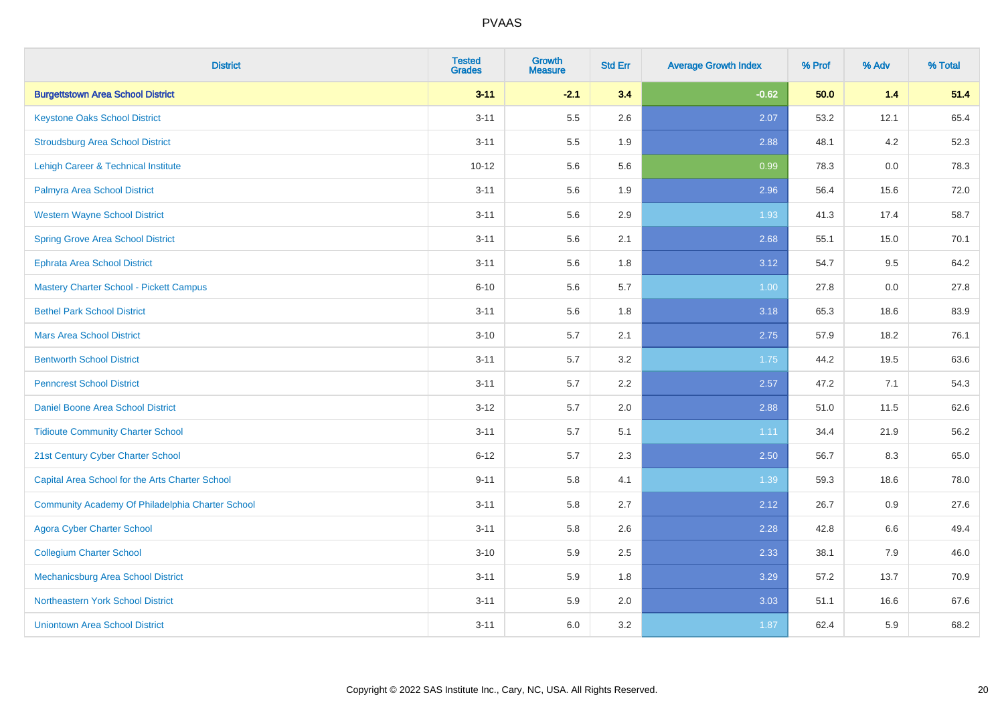| <b>District</b>                                  | <b>Tested</b><br><b>Grades</b> | <b>Growth</b><br><b>Measure</b> | <b>Std Err</b> | <b>Average Growth Index</b> | % Prof | % Adv | % Total |
|--------------------------------------------------|--------------------------------|---------------------------------|----------------|-----------------------------|--------|-------|---------|
| <b>Burgettstown Area School District</b>         | $3 - 11$                       | $-2.1$                          | 3.4            | $-0.62$                     | 50.0   | $1.4$ | 51.4    |
| <b>Keystone Oaks School District</b>             | $3 - 11$                       | 5.5                             | 2.6            | 2.07                        | 53.2   | 12.1  | 65.4    |
| <b>Stroudsburg Area School District</b>          | $3 - 11$                       | 5.5                             | 1.9            | 2.88                        | 48.1   | 4.2   | 52.3    |
| Lehigh Career & Technical Institute              | $10 - 12$                      | 5.6                             | 5.6            | 0.99                        | 78.3   | 0.0   | 78.3    |
| Palmyra Area School District                     | $3 - 11$                       | 5.6                             | 1.9            | 2.96                        | 56.4   | 15.6  | 72.0    |
| <b>Western Wayne School District</b>             | $3 - 11$                       | 5.6                             | 2.9            | 1.93                        | 41.3   | 17.4  | 58.7    |
| <b>Spring Grove Area School District</b>         | $3 - 11$                       | 5.6                             | 2.1            | 2.68                        | 55.1   | 15.0  | 70.1    |
| <b>Ephrata Area School District</b>              | $3 - 11$                       | 5.6                             | 1.8            | 3.12                        | 54.7   | 9.5   | 64.2    |
| <b>Mastery Charter School - Pickett Campus</b>   | $6 - 10$                       | 5.6                             | 5.7            | 1.00                        | 27.8   | 0.0   | 27.8    |
| <b>Bethel Park School District</b>               | $3 - 11$                       | 5.6                             | 1.8            | 3.18                        | 65.3   | 18.6  | 83.9    |
| <b>Mars Area School District</b>                 | $3 - 10$                       | 5.7                             | 2.1            | 2.75                        | 57.9   | 18.2  | 76.1    |
| <b>Bentworth School District</b>                 | $3 - 11$                       | 5.7                             | 3.2            | 1.75                        | 44.2   | 19.5  | 63.6    |
| <b>Penncrest School District</b>                 | $3 - 11$                       | 5.7                             | 2.2            | 2.57                        | 47.2   | 7.1   | 54.3    |
| Daniel Boone Area School District                | $3 - 12$                       | 5.7                             | 2.0            | 2.88                        | 51.0   | 11.5  | 62.6    |
| <b>Tidioute Community Charter School</b>         | $3 - 11$                       | 5.7                             | 5.1            | 1.11                        | 34.4   | 21.9  | 56.2    |
| 21st Century Cyber Charter School                | $6 - 12$                       | 5.7                             | 2.3            | 2.50                        | 56.7   | 8.3   | 65.0    |
| Capital Area School for the Arts Charter School  | $9 - 11$                       | 5.8                             | 4.1            | 1.39                        | 59.3   | 18.6  | 78.0    |
| Community Academy Of Philadelphia Charter School | $3 - 11$                       | 5.8                             | 2.7            | 2.12                        | 26.7   | 0.9   | 27.6    |
| <b>Agora Cyber Charter School</b>                | $3 - 11$                       | 5.8                             | 2.6            | 2.28                        | 42.8   | 6.6   | 49.4    |
| <b>Collegium Charter School</b>                  | $3 - 10$                       | 5.9                             | 2.5            | 2.33                        | 38.1   | 7.9   | 46.0    |
| <b>Mechanicsburg Area School District</b>        | $3 - 11$                       | 5.9                             | 1.8            | 3.29                        | 57.2   | 13.7  | 70.9    |
| Northeastern York School District                | $3 - 11$                       | 5.9                             | 2.0            | 3.03                        | 51.1   | 16.6  | 67.6    |
| <b>Uniontown Area School District</b>            | $3 - 11$                       | 6.0                             | 3.2            | 1.87                        | 62.4   | 5.9   | 68.2    |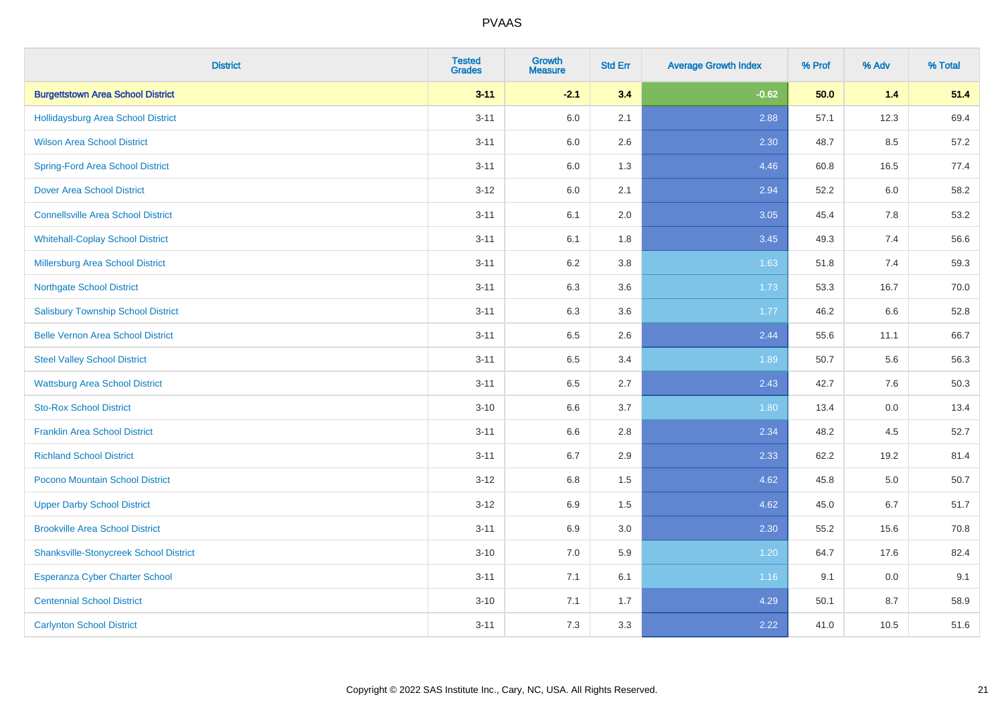| <b>District</b>                               | <b>Tested</b><br><b>Grades</b> | <b>Growth</b><br><b>Measure</b> | <b>Std Err</b> | <b>Average Growth Index</b> | % Prof | % Adv | % Total |
|-----------------------------------------------|--------------------------------|---------------------------------|----------------|-----------------------------|--------|-------|---------|
| <b>Burgettstown Area School District</b>      | $3 - 11$                       | $-2.1$                          | 3.4            | $-0.62$                     | 50.0   | $1.4$ | 51.4    |
| Hollidaysburg Area School District            | $3 - 11$                       | 6.0                             | 2.1            | 2.88                        | 57.1   | 12.3  | 69.4    |
| <b>Wilson Area School District</b>            | $3 - 11$                       | 6.0                             | 2.6            | 2.30                        | 48.7   | 8.5   | 57.2    |
| <b>Spring-Ford Area School District</b>       | $3 - 11$                       | 6.0                             | 1.3            | 4.46                        | 60.8   | 16.5  | 77.4    |
| <b>Dover Area School District</b>             | $3 - 12$                       | 6.0                             | 2.1            | 2.94                        | 52.2   | 6.0   | 58.2    |
| <b>Connellsville Area School District</b>     | $3 - 11$                       | 6.1                             | 2.0            | 3.05                        | 45.4   | 7.8   | 53.2    |
| <b>Whitehall-Coplay School District</b>       | $3 - 11$                       | 6.1                             | 1.8            | 3.45                        | 49.3   | 7.4   | 56.6    |
| <b>Millersburg Area School District</b>       | $3 - 11$                       | 6.2                             | 3.8            | 1.63                        | 51.8   | 7.4   | 59.3    |
| <b>Northgate School District</b>              | $3 - 11$                       | 6.3                             | 3.6            | 1.73                        | 53.3   | 16.7  | 70.0    |
| <b>Salisbury Township School District</b>     | $3 - 11$                       | 6.3                             | 3.6            | 1.77                        | 46.2   | 6.6   | 52.8    |
| <b>Belle Vernon Area School District</b>      | $3 - 11$                       | 6.5                             | 2.6            | 2.44                        | 55.6   | 11.1  | 66.7    |
| <b>Steel Valley School District</b>           | $3 - 11$                       | 6.5                             | 3.4            | 1.89                        | 50.7   | 5.6   | 56.3    |
| <b>Wattsburg Area School District</b>         | $3 - 11$                       | 6.5                             | 2.7            | 2.43                        | 42.7   | 7.6   | 50.3    |
| <b>Sto-Rox School District</b>                | $3 - 10$                       | 6.6                             | 3.7            | 1.80                        | 13.4   | 0.0   | 13.4    |
| <b>Franklin Area School District</b>          | $3 - 11$                       | 6.6                             | 2.8            | 2.34                        | 48.2   | 4.5   | 52.7    |
| <b>Richland School District</b>               | $3 - 11$                       | 6.7                             | 2.9            | 2.33                        | 62.2   | 19.2  | 81.4    |
| Pocono Mountain School District               | $3-12$                         | 6.8                             | 1.5            | 4.62                        | 45.8   | 5.0   | 50.7    |
| <b>Upper Darby School District</b>            | $3 - 12$                       | 6.9                             | 1.5            | 4.62                        | 45.0   | 6.7   | 51.7    |
| <b>Brookville Area School District</b>        | $3 - 11$                       | 6.9                             | 3.0            | 2.30                        | 55.2   | 15.6  | 70.8    |
| <b>Shanksville-Stonycreek School District</b> | $3 - 10$                       | 7.0                             | 5.9            | 1.20                        | 64.7   | 17.6  | 82.4    |
| <b>Esperanza Cyber Charter School</b>         | $3 - 11$                       | 7.1                             | 6.1            | 1.16                        | 9.1    | 0.0   | 9.1     |
| <b>Centennial School District</b>             | $3 - 10$                       | 7.1                             | 1.7            | 4.29                        | 50.1   | 8.7   | 58.9    |
| <b>Carlynton School District</b>              | $3 - 11$                       | 7.3                             | 3.3            | 2.22                        | 41.0   | 10.5  | 51.6    |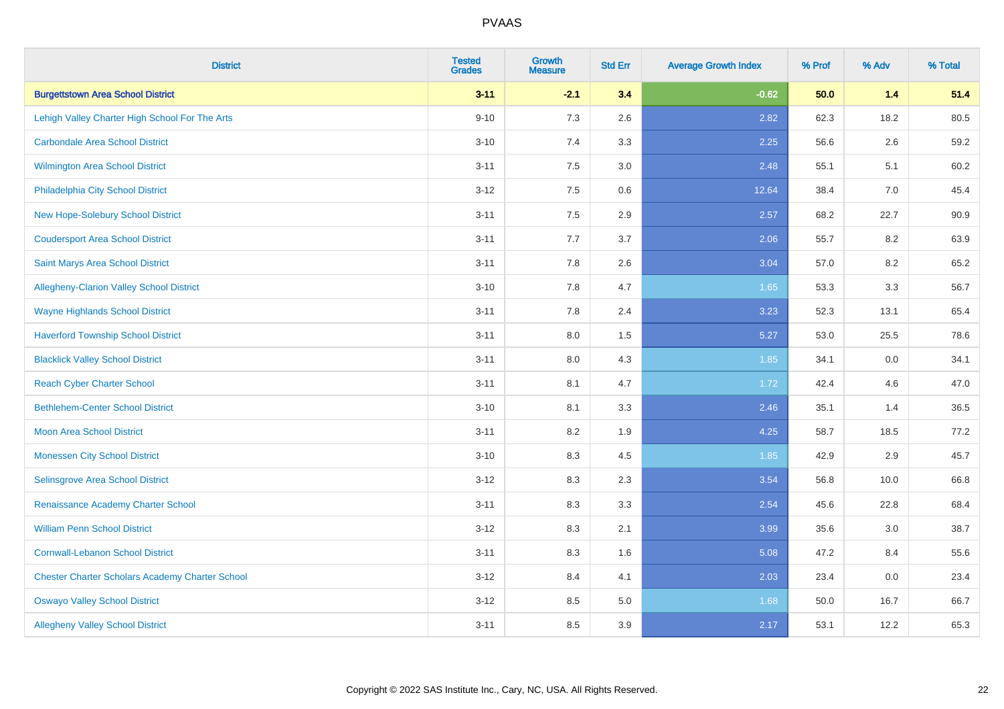| <b>District</b>                                        | <b>Tested</b><br><b>Grades</b> | <b>Growth</b><br><b>Measure</b> | <b>Std Err</b> | <b>Average Growth Index</b> | % Prof | % Adv | % Total |
|--------------------------------------------------------|--------------------------------|---------------------------------|----------------|-----------------------------|--------|-------|---------|
| <b>Burgettstown Area School District</b>               | $3 - 11$                       | $-2.1$                          | 3.4            | $-0.62$                     | 50.0   | $1.4$ | 51.4    |
| Lehigh Valley Charter High School For The Arts         | $9 - 10$                       | $7.3$                           | 2.6            | 2.82                        | 62.3   | 18.2  | 80.5    |
| <b>Carbondale Area School District</b>                 | $3 - 10$                       | 7.4                             | 3.3            | 2.25                        | 56.6   | 2.6   | 59.2    |
| Wilmington Area School District                        | $3 - 11$                       | $7.5\,$                         | 3.0            | 2.48                        | 55.1   | 5.1   | 60.2    |
| Philadelphia City School District                      | $3 - 12$                       | 7.5                             | 0.6            | 12.64                       | 38.4   | 7.0   | 45.4    |
| <b>New Hope-Solebury School District</b>               | $3 - 11$                       | 7.5                             | 2.9            | 2.57                        | 68.2   | 22.7  | 90.9    |
| <b>Coudersport Area School District</b>                | $3 - 11$                       | 7.7                             | 3.7            | 2.06                        | 55.7   | 8.2   | 63.9    |
| Saint Marys Area School District                       | $3 - 11$                       | 7.8                             | 2.6            | 3.04                        | 57.0   | 8.2   | 65.2    |
| Allegheny-Clarion Valley School District               | $3 - 10$                       | 7.8                             | 4.7            | 1.65                        | 53.3   | 3.3   | 56.7    |
| <b>Wayne Highlands School District</b>                 | $3 - 11$                       | 7.8                             | 2.4            | 3.23                        | 52.3   | 13.1  | 65.4    |
| <b>Haverford Township School District</b>              | $3 - 11$                       | 8.0                             | 1.5            | 5.27                        | 53.0   | 25.5  | 78.6    |
| <b>Blacklick Valley School District</b>                | $3 - 11$                       | 8.0                             | 4.3            | 1.85                        | 34.1   | 0.0   | 34.1    |
| <b>Reach Cyber Charter School</b>                      | $3 - 11$                       | 8.1                             | 4.7            | 1.72                        | 42.4   | 4.6   | 47.0    |
| <b>Bethlehem-Center School District</b>                | $3 - 10$                       | 8.1                             | 3.3            | 2.46                        | 35.1   | 1.4   | 36.5    |
| <b>Moon Area School District</b>                       | $3 - 11$                       | 8.2                             | 1.9            | 4.25                        | 58.7   | 18.5  | 77.2    |
| <b>Monessen City School District</b>                   | $3 - 10$                       | 8.3                             | 4.5            | 1.85                        | 42.9   | 2.9   | 45.7    |
| Selinsgrove Area School District                       | $3 - 12$                       | 8.3                             | 2.3            | 3.54                        | 56.8   | 10.0  | 66.8    |
| Renaissance Academy Charter School                     | $3 - 11$                       | 8.3                             | 3.3            | 2.54                        | 45.6   | 22.8  | 68.4    |
| <b>William Penn School District</b>                    | $3 - 12$                       | 8.3                             | 2.1            | 3.99                        | 35.6   | 3.0   | 38.7    |
| <b>Cornwall-Lebanon School District</b>                | $3 - 11$                       | 8.3                             | 1.6            | 5.08                        | 47.2   | 8.4   | 55.6    |
| <b>Chester Charter Scholars Academy Charter School</b> | $3 - 12$                       | 8.4                             | 4.1            | 2.03                        | 23.4   | 0.0   | 23.4    |
| <b>Oswayo Valley School District</b>                   | $3 - 12$                       | 8.5                             | 5.0            | 1.68                        | 50.0   | 16.7  | 66.7    |
| <b>Allegheny Valley School District</b>                | $3 - 11$                       | 8.5                             | 3.9            | 2.17                        | 53.1   | 12.2  | 65.3    |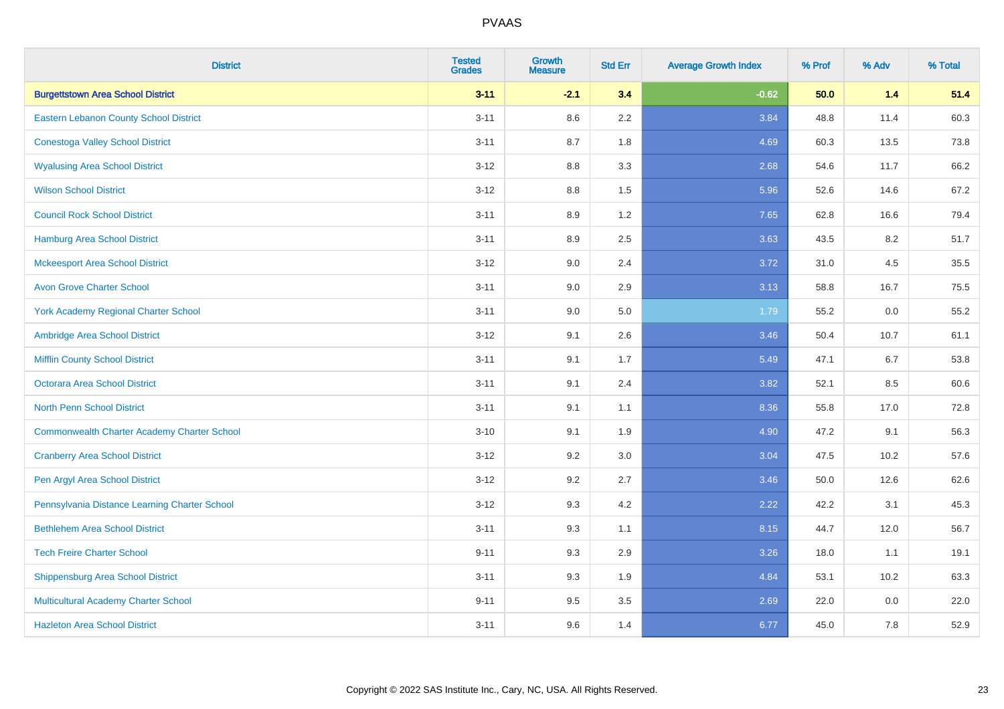| <b>District</b>                                    | <b>Tested</b><br><b>Grades</b> | <b>Growth</b><br><b>Measure</b> | <b>Std Err</b> | <b>Average Growth Index</b> | % Prof | % Adv | % Total |
|----------------------------------------------------|--------------------------------|---------------------------------|----------------|-----------------------------|--------|-------|---------|
| <b>Burgettstown Area School District</b>           | $3 - 11$                       | $-2.1$                          | 3.4            | $-0.62$                     | 50.0   | $1.4$ | 51.4    |
| Eastern Lebanon County School District             | $3 - 11$                       | 8.6                             | 2.2            | 3.84                        | 48.8   | 11.4  | 60.3    |
| <b>Conestoga Valley School District</b>            | $3 - 11$                       | 8.7                             | 1.8            | 4.69                        | 60.3   | 13.5  | 73.8    |
| <b>Wyalusing Area School District</b>              | $3-12$                         | 8.8                             | 3.3            | 2.68                        | 54.6   | 11.7  | 66.2    |
| <b>Wilson School District</b>                      | $3 - 12$                       | 8.8                             | 1.5            | 5.96                        | 52.6   | 14.6  | 67.2    |
| <b>Council Rock School District</b>                | $3 - 11$                       | 8.9                             | 1.2            | 7.65                        | 62.8   | 16.6  | 79.4    |
| <b>Hamburg Area School District</b>                | $3 - 11$                       | 8.9                             | 2.5            | 3.63                        | 43.5   | 8.2   | 51.7    |
| <b>Mckeesport Area School District</b>             | $3 - 12$                       | 9.0                             | 2.4            | 3.72                        | 31.0   | 4.5   | 35.5    |
| <b>Avon Grove Charter School</b>                   | $3 - 11$                       | 9.0                             | 2.9            | 3.13                        | 58.8   | 16.7  | 75.5    |
| <b>York Academy Regional Charter School</b>        | $3 - 11$                       | 9.0                             | 5.0            | 1.79                        | 55.2   | 0.0   | 55.2    |
| Ambridge Area School District                      | $3 - 12$                       | 9.1                             | 2.6            | 3.46                        | 50.4   | 10.7  | 61.1    |
| <b>Mifflin County School District</b>              | $3 - 11$                       | 9.1                             | 1.7            | 5.49                        | 47.1   | 6.7   | 53.8    |
| Octorara Area School District                      | $3 - 11$                       | 9.1                             | 2.4            | 3.82                        | 52.1   | 8.5   | 60.6    |
| <b>North Penn School District</b>                  | $3 - 11$                       | 9.1                             | 1.1            | 8.36                        | 55.8   | 17.0  | 72.8    |
| <b>Commonwealth Charter Academy Charter School</b> | $3 - 10$                       | 9.1                             | 1.9            | 4.90                        | 47.2   | 9.1   | 56.3    |
| <b>Cranberry Area School District</b>              | $3 - 12$                       | 9.2                             | 3.0            | 3.04                        | 47.5   | 10.2  | 57.6    |
| Pen Argyl Area School District                     | $3 - 12$                       | 9.2                             | 2.7            | 3.46                        | 50.0   | 12.6  | 62.6    |
| Pennsylvania Distance Learning Charter School      | $3 - 12$                       | 9.3                             | 4.2            | 2.22                        | 42.2   | 3.1   | 45.3    |
| <b>Bethlehem Area School District</b>              | $3 - 11$                       | 9.3                             | 1.1            | 8.15                        | 44.7   | 12.0  | 56.7    |
| <b>Tech Freire Charter School</b>                  | $9 - 11$                       | 9.3                             | 2.9            | 3.26                        | 18.0   | 1.1   | 19.1    |
| <b>Shippensburg Area School District</b>           | $3 - 11$                       | 9.3                             | 1.9            | 4.84                        | 53.1   | 10.2  | 63.3    |
| <b>Multicultural Academy Charter School</b>        | $9 - 11$                       | 9.5                             | 3.5            | 2.69                        | 22.0   | 0.0   | 22.0    |
| <b>Hazleton Area School District</b>               | $3 - 11$                       | 9.6                             | 1.4            | 6.77                        | 45.0   | 7.8   | 52.9    |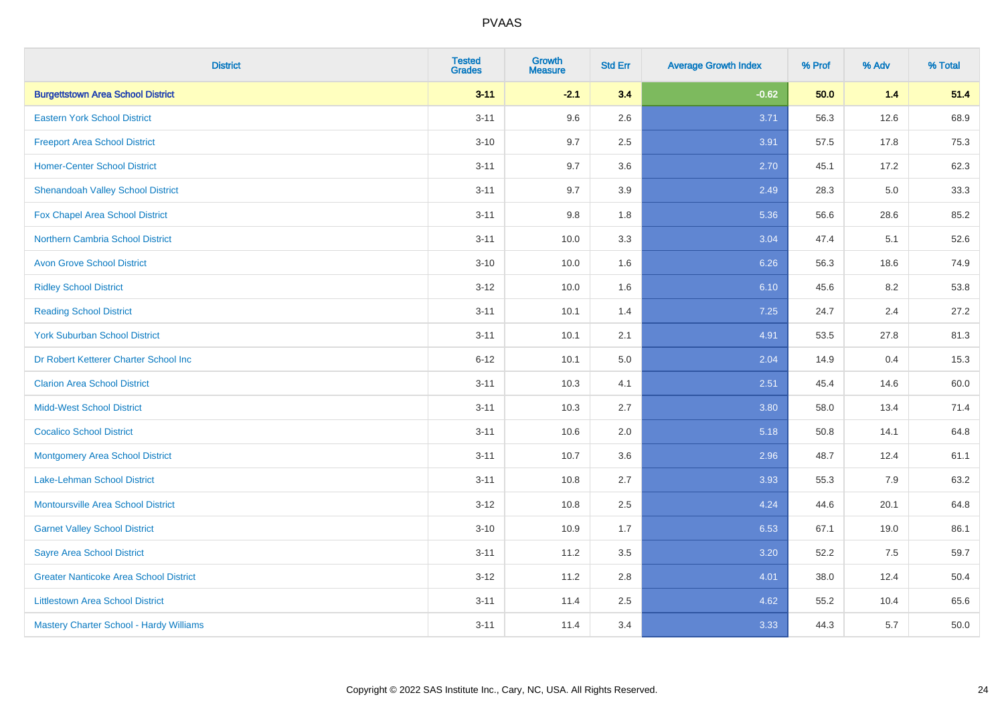| <b>District</b>                                | <b>Tested</b><br><b>Grades</b> | <b>Growth</b><br><b>Measure</b> | <b>Std Err</b> | <b>Average Growth Index</b> | % Prof | % Adv | % Total |
|------------------------------------------------|--------------------------------|---------------------------------|----------------|-----------------------------|--------|-------|---------|
| <b>Burgettstown Area School District</b>       | $3 - 11$                       | $-2.1$                          | 3.4            | $-0.62$                     | 50.0   | $1.4$ | 51.4    |
| <b>Eastern York School District</b>            | $3 - 11$                       | 9.6                             | 2.6            | 3.71                        | 56.3   | 12.6  | 68.9    |
| <b>Freeport Area School District</b>           | $3 - 10$                       | 9.7                             | 2.5            | 3.91                        | 57.5   | 17.8  | 75.3    |
| <b>Homer-Center School District</b>            | $3 - 11$                       | 9.7                             | 3.6            | 2.70                        | 45.1   | 17.2  | 62.3    |
| <b>Shenandoah Valley School District</b>       | $3 - 11$                       | 9.7                             | 3.9            | 2.49                        | 28.3   | 5.0   | 33.3    |
| Fox Chapel Area School District                | $3 - 11$                       | 9.8                             | 1.8            | 5.36                        | 56.6   | 28.6  | 85.2    |
| <b>Northern Cambria School District</b>        | $3 - 11$                       | 10.0                            | 3.3            | 3.04                        | 47.4   | 5.1   | 52.6    |
| <b>Avon Grove School District</b>              | $3 - 10$                       | 10.0                            | 1.6            | 6.26                        | 56.3   | 18.6  | 74.9    |
| <b>Ridley School District</b>                  | $3 - 12$                       | 10.0                            | 1.6            | 6.10                        | 45.6   | 8.2   | 53.8    |
| <b>Reading School District</b>                 | $3 - 11$                       | 10.1                            | 1.4            | 7.25                        | 24.7   | 2.4   | 27.2    |
| <b>York Suburban School District</b>           | $3 - 11$                       | 10.1                            | 2.1            | 4.91                        | 53.5   | 27.8  | 81.3    |
| Dr Robert Ketterer Charter School Inc          | $6 - 12$                       | 10.1                            | 5.0            | 2.04                        | 14.9   | 0.4   | 15.3    |
| <b>Clarion Area School District</b>            | $3 - 11$                       | 10.3                            | 4.1            | 2.51                        | 45.4   | 14.6  | 60.0    |
| <b>Midd-West School District</b>               | $3 - 11$                       | 10.3                            | 2.7            | 3.80                        | 58.0   | 13.4  | 71.4    |
| <b>Cocalico School District</b>                | $3 - 11$                       | 10.6                            | 2.0            | 5.18                        | 50.8   | 14.1  | 64.8    |
| <b>Montgomery Area School District</b>         | $3 - 11$                       | 10.7                            | 3.6            | 2.96                        | 48.7   | 12.4  | 61.1    |
| Lake-Lehman School District                    | $3 - 11$                       | 10.8                            | 2.7            | 3.93                        | 55.3   | 7.9   | 63.2    |
| <b>Montoursville Area School District</b>      | $3 - 12$                       | 10.8                            | 2.5            | 4.24                        | 44.6   | 20.1  | 64.8    |
| <b>Garnet Valley School District</b>           | $3 - 10$                       | 10.9                            | 1.7            | 6.53                        | 67.1   | 19.0  | 86.1    |
| <b>Sayre Area School District</b>              | $3 - 11$                       | 11.2                            | 3.5            | 3.20                        | 52.2   | 7.5   | 59.7    |
| <b>Greater Nanticoke Area School District</b>  | $3-12$                         | 11.2                            | 2.8            | 4.01                        | 38.0   | 12.4  | 50.4    |
| <b>Littlestown Area School District</b>        | $3 - 11$                       | 11.4                            | 2.5            | 4.62                        | 55.2   | 10.4  | 65.6    |
| <b>Mastery Charter School - Hardy Williams</b> | $3 - 11$                       | 11.4                            | 3.4            | 3.33                        | 44.3   | 5.7   | 50.0    |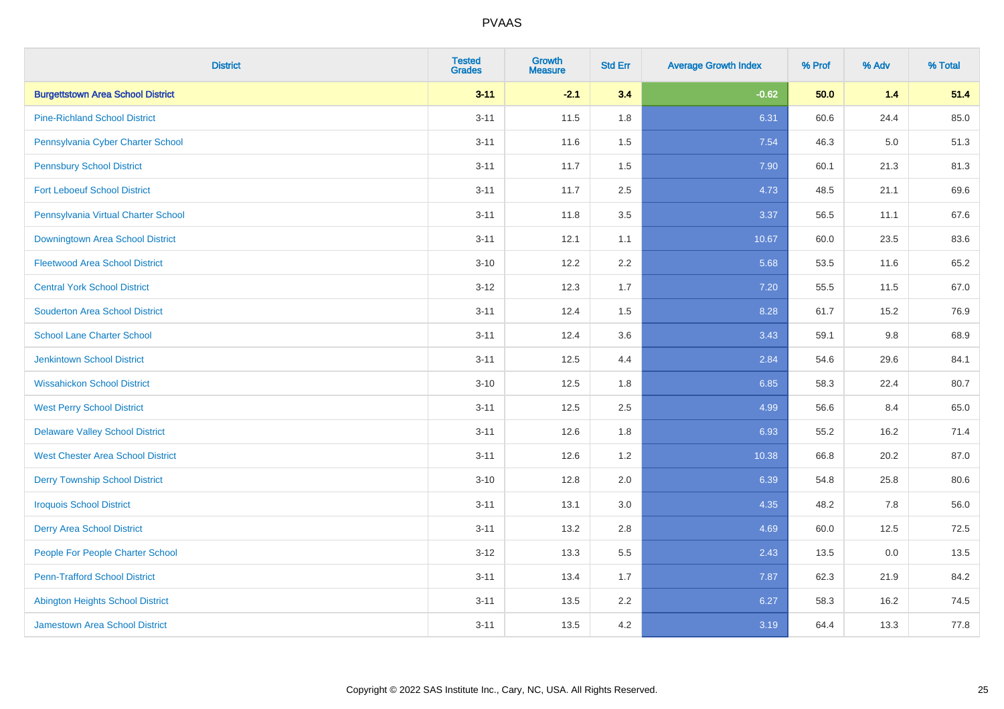| <b>District</b>                          | <b>Tested</b><br><b>Grades</b> | <b>Growth</b><br><b>Measure</b> | <b>Std Err</b> | <b>Average Growth Index</b> | % Prof | % Adv | % Total |
|------------------------------------------|--------------------------------|---------------------------------|----------------|-----------------------------|--------|-------|---------|
| <b>Burgettstown Area School District</b> | $3 - 11$                       | $-2.1$                          | 3.4            | $-0.62$                     | 50.0   | $1.4$ | 51.4    |
| <b>Pine-Richland School District</b>     | $3 - 11$                       | 11.5                            | 1.8            | 6.31                        | 60.6   | 24.4  | 85.0    |
| Pennsylvania Cyber Charter School        | $3 - 11$                       | 11.6                            | 1.5            | 7.54                        | 46.3   | 5.0   | 51.3    |
| <b>Pennsbury School District</b>         | $3 - 11$                       | 11.7                            | 1.5            | 7.90                        | 60.1   | 21.3  | 81.3    |
| <b>Fort Leboeuf School District</b>      | $3 - 11$                       | 11.7                            | 2.5            | 4.73                        | 48.5   | 21.1  | 69.6    |
| Pennsylvania Virtual Charter School      | $3 - 11$                       | 11.8                            | 3.5            | 3.37                        | 56.5   | 11.1  | 67.6    |
| Downingtown Area School District         | $3 - 11$                       | 12.1                            | 1.1            | 10.67                       | 60.0   | 23.5  | 83.6    |
| <b>Fleetwood Area School District</b>    | $3 - 10$                       | 12.2                            | 2.2            | 5.68                        | 53.5   | 11.6  | 65.2    |
| <b>Central York School District</b>      | $3 - 12$                       | 12.3                            | 1.7            | 7.20                        | 55.5   | 11.5  | 67.0    |
| <b>Souderton Area School District</b>    | $3 - 11$                       | 12.4                            | 1.5            | 8.28                        | 61.7   | 15.2  | 76.9    |
| <b>School Lane Charter School</b>        | $3 - 11$                       | 12.4                            | 3.6            | 3.43                        | 59.1   | 9.8   | 68.9    |
| <b>Jenkintown School District</b>        | $3 - 11$                       | 12.5                            | 4.4            | 2.84                        | 54.6   | 29.6  | 84.1    |
| <b>Wissahickon School District</b>       | $3 - 10$                       | 12.5                            | 1.8            | 6.85                        | 58.3   | 22.4  | 80.7    |
| <b>West Perry School District</b>        | $3 - 11$                       | 12.5                            | 2.5            | 4.99                        | 56.6   | 8.4   | 65.0    |
| <b>Delaware Valley School District</b>   | $3 - 11$                       | 12.6                            | 1.8            | 6.93                        | 55.2   | 16.2  | 71.4    |
| <b>West Chester Area School District</b> | $3 - 11$                       | 12.6                            | 1.2            | 10.38                       | 66.8   | 20.2  | 87.0    |
| <b>Derry Township School District</b>    | $3 - 10$                       | 12.8                            | 2.0            | 6.39                        | 54.8   | 25.8  | 80.6    |
| <b>Iroquois School District</b>          | $3 - 11$                       | 13.1                            | 3.0            | 4.35                        | 48.2   | 7.8   | 56.0    |
| <b>Derry Area School District</b>        | $3 - 11$                       | 13.2                            | 2.8            | 4.69                        | 60.0   | 12.5  | 72.5    |
| People For People Charter School         | $3 - 12$                       | 13.3                            | 5.5            | 2.43                        | 13.5   | 0.0   | 13.5    |
| <b>Penn-Trafford School District</b>     | $3 - 11$                       | 13.4                            | 1.7            | 7.87                        | 62.3   | 21.9  | 84.2    |
| <b>Abington Heights School District</b>  | $3 - 11$                       | 13.5                            | 2.2            | 6.27                        | 58.3   | 16.2  | 74.5    |
| <b>Jamestown Area School District</b>    | $3 - 11$                       | 13.5                            | 4.2            | 3.19                        | 64.4   | 13.3  | 77.8    |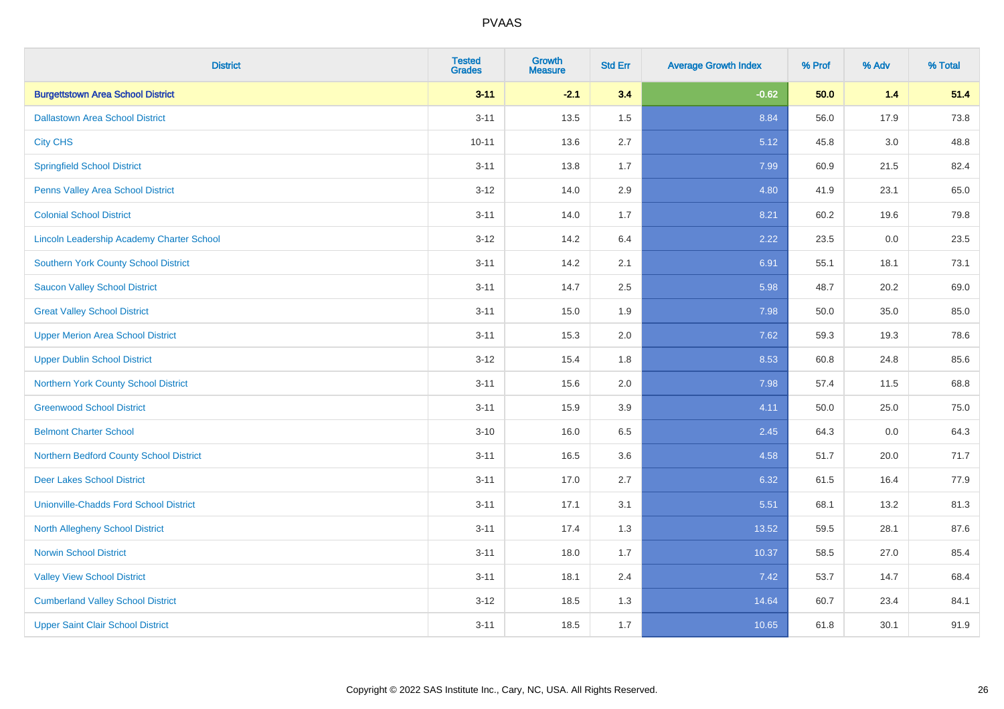| <b>District</b>                                  | <b>Tested</b><br><b>Grades</b> | <b>Growth</b><br><b>Measure</b> | <b>Std Err</b> | <b>Average Growth Index</b> | % Prof | % Adv   | % Total |
|--------------------------------------------------|--------------------------------|---------------------------------|----------------|-----------------------------|--------|---------|---------|
| <b>Burgettstown Area School District</b>         | $3 - 11$                       | $-2.1$                          | 3.4            | $-0.62$                     | 50.0   | $1.4$   | 51.4    |
| <b>Dallastown Area School District</b>           | $3 - 11$                       | 13.5                            | 1.5            | 8.84                        | 56.0   | 17.9    | 73.8    |
| <b>City CHS</b>                                  | $10 - 11$                      | 13.6                            | 2.7            | 5.12                        | 45.8   | 3.0     | 48.8    |
| <b>Springfield School District</b>               | $3 - 11$                       | 13.8                            | 1.7            | 7.99                        | 60.9   | 21.5    | 82.4    |
| Penns Valley Area School District                | $3 - 12$                       | 14.0                            | 2.9            | 4.80                        | 41.9   | 23.1    | 65.0    |
| <b>Colonial School District</b>                  | $3 - 11$                       | 14.0                            | 1.7            | 8.21                        | 60.2   | 19.6    | 79.8    |
| <b>Lincoln Leadership Academy Charter School</b> | $3 - 12$                       | 14.2                            | 6.4            | 2.22                        | 23.5   | $0.0\,$ | 23.5    |
| <b>Southern York County School District</b>      | $3 - 11$                       | 14.2                            | 2.1            | 6.91                        | 55.1   | 18.1    | 73.1    |
| <b>Saucon Valley School District</b>             | $3 - 11$                       | 14.7                            | 2.5            | 5.98                        | 48.7   | 20.2    | 69.0    |
| <b>Great Valley School District</b>              | $3 - 11$                       | 15.0                            | 1.9            | 7.98                        | 50.0   | 35.0    | 85.0    |
| <b>Upper Merion Area School District</b>         | $3 - 11$                       | 15.3                            | 2.0            | 7.62                        | 59.3   | 19.3    | 78.6    |
| <b>Upper Dublin School District</b>              | $3 - 12$                       | 15.4                            | 1.8            | 8.53                        | 60.8   | 24.8    | 85.6    |
| Northern York County School District             | $3 - 11$                       | 15.6                            | 2.0            | 7.98                        | 57.4   | 11.5    | 68.8    |
| <b>Greenwood School District</b>                 | $3 - 11$                       | 15.9                            | 3.9            | 4.11                        | 50.0   | 25.0    | 75.0    |
| <b>Belmont Charter School</b>                    | $3 - 10$                       | 16.0                            | 6.5            | 2.45                        | 64.3   | 0.0     | 64.3    |
| Northern Bedford County School District          | $3 - 11$                       | 16.5                            | 3.6            | 4.58                        | 51.7   | 20.0    | 71.7    |
| <b>Deer Lakes School District</b>                | $3 - 11$                       | 17.0                            | 2.7            | 6.32                        | 61.5   | 16.4    | 77.9    |
| <b>Unionville-Chadds Ford School District</b>    | $3 - 11$                       | 17.1                            | 3.1            | 5.51                        | 68.1   | 13.2    | 81.3    |
| <b>North Allegheny School District</b>           | $3 - 11$                       | 17.4                            | 1.3            | 13.52                       | 59.5   | 28.1    | 87.6    |
| <b>Norwin School District</b>                    | $3 - 11$                       | 18.0                            | 1.7            | 10.37                       | 58.5   | 27.0    | 85.4    |
| <b>Valley View School District</b>               | $3 - 11$                       | 18.1                            | 2.4            | 7.42                        | 53.7   | 14.7    | 68.4    |
| <b>Cumberland Valley School District</b>         | $3 - 12$                       | 18.5                            | 1.3            | 14.64                       | 60.7   | 23.4    | 84.1    |
| <b>Upper Saint Clair School District</b>         | $3 - 11$                       | 18.5                            | 1.7            | 10.65                       | 61.8   | 30.1    | 91.9    |